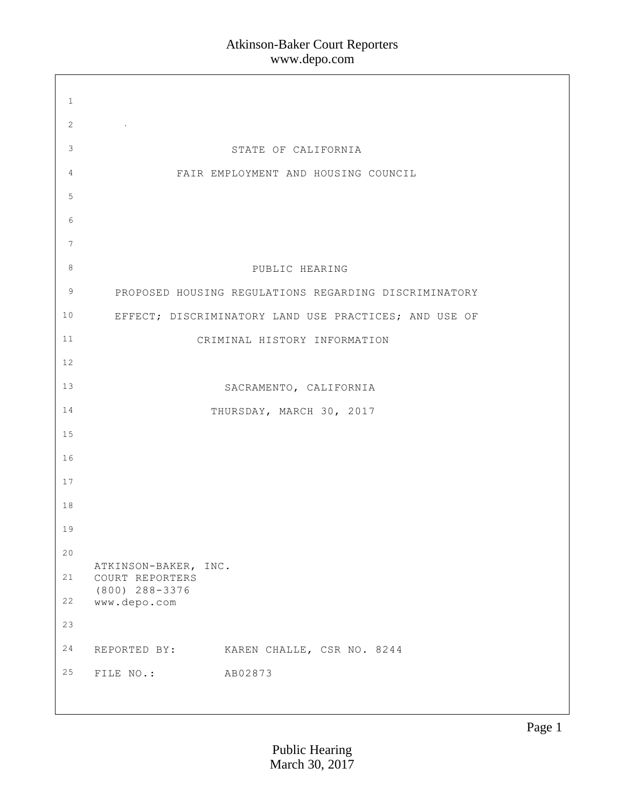| $\mathbf{1}$    |                                                       |
|-----------------|-------------------------------------------------------|
| 2               |                                                       |
| 3               | STATE OF CALIFORNIA                                   |
| 4               | FAIR EMPLOYMENT AND HOUSING COUNCIL                   |
| 5               |                                                       |
| 6               |                                                       |
| $7\phantom{.0}$ |                                                       |
| 8               | PUBLIC HEARING                                        |
| 9               | PROPOSED HOUSING REGULATIONS REGARDING DISCRIMINATORY |
| 10 <sub>o</sub> | EFFECT; DISCRIMINATORY LAND USE PRACTICES; AND USE OF |
| 11              | CRIMINAL HISTORY INFORMATION                          |
| 12              |                                                       |
| 13              | SACRAMENTO, CALIFORNIA                                |
| 14              | THURSDAY, MARCH 30, 2017                              |
| 15              |                                                       |
| 16              |                                                       |
| 17              |                                                       |
| 18              |                                                       |
| 19              |                                                       |
| 20              | ATKINSON-BAKER, INC.                                  |
| 21              | COURT REPORTERS<br>$(800)$ 288-3376                   |
| 22              | www.depo.com                                          |
| 23              |                                                       |
| 24              | REPORTED BY: KAREN CHALLE, CSR NO. 8244               |
| 25              | AB02873<br>FILE NO.:                                  |
|                 |                                                       |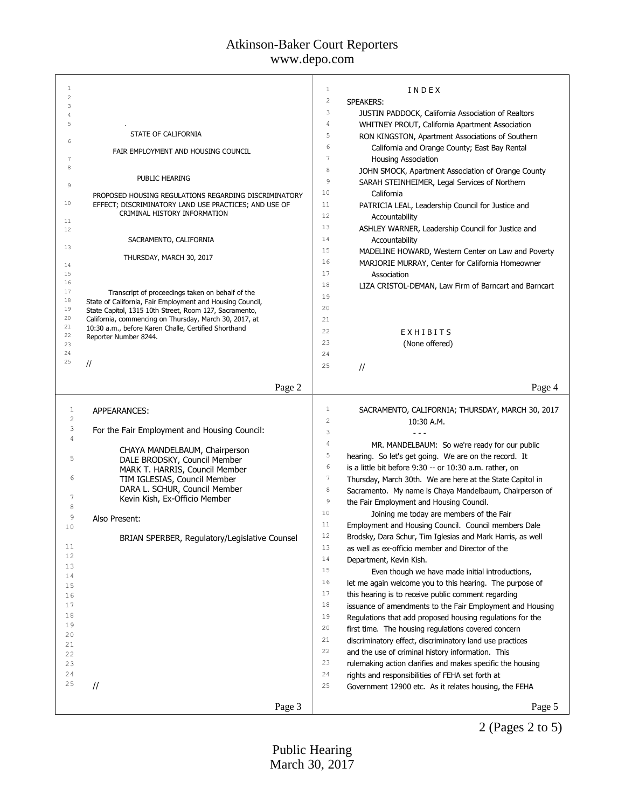# Atkinson-Baker Court Reporters

www.depo.com

| $\mathbf{1}$   |                                                                                                                | 1                       | INDEX                                                      |
|----------------|----------------------------------------------------------------------------------------------------------------|-------------------------|------------------------------------------------------------|
| $\overline{2}$ |                                                                                                                | $\overline{\mathbf{c}}$ | <b>SPEAKERS:</b>                                           |
| 3              |                                                                                                                | 3                       | JUSTIN PADDOCK, California Association of Realtors         |
| 4<br>5         |                                                                                                                | 4                       |                                                            |
|                |                                                                                                                |                         | WHITNEY PROUT, California Apartment Association            |
| 6              | STATE OF CALIFORNIA                                                                                            | 5                       | RON KINGSTON, Apartment Associations of Southern           |
|                | FAIR EMPLOYMENT AND HOUSING COUNCIL                                                                            | 6                       | California and Orange County; East Bay Rental              |
| 7              |                                                                                                                | 7                       | <b>Housing Association</b>                                 |
| 8              |                                                                                                                | 8                       | JOHN SMOCK, Apartment Association of Orange County         |
|                | PUBLIC HEARING                                                                                                 | 9                       |                                                            |
| 9              |                                                                                                                |                         | SARAH STEINHEIMER, Legal Services of Northern              |
|                | PROPOSED HOUSING REGULATIONS REGARDING DISCRIMINATORY                                                          | 10                      | California                                                 |
| 10             | EFFECT; DISCRIMINATORY LAND USE PRACTICES; AND USE OF                                                          | 11                      | PATRICIA LEAL, Leadership Council for Justice and          |
|                | CRIMINAL HISTORY INFORMATION                                                                                   | 12                      | Accountability                                             |
| 11<br>12       |                                                                                                                | 13                      | ASHLEY WARNER, Leadership Council for Justice and          |
|                | SACRAMENTO, CALIFORNIA                                                                                         | 14                      |                                                            |
| 13             |                                                                                                                |                         | Accountability                                             |
|                | THURSDAY, MARCH 30, 2017                                                                                       | 15                      | MADELINE HOWARD, Western Center on Law and Poverty         |
| 14             |                                                                                                                | 16                      | MARJORIE MURRAY, Center for California Homeowner           |
| 15             |                                                                                                                | 17                      | Association                                                |
| 16             |                                                                                                                | 18                      | LIZA CRISTOL-DEMAN, Law Firm of Barncart and Barncart      |
| 17             | Transcript of proceedings taken on behalf of the                                                               | 19                      |                                                            |
| 18             | State of California, Fair Employment and Housing Council,                                                      | 20                      |                                                            |
| 19<br>20       | State Capitol, 1315 10th Street, Room 127, Sacramento,                                                         |                         |                                                            |
| 21             | California, commencing on Thursday, March 30, 2017, at<br>10:30 a.m., before Karen Challe, Certified Shorthand | 21                      |                                                            |
| 22             | Reporter Number 8244.                                                                                          | 22                      | EXHIBITS                                                   |
| 23             |                                                                                                                | 23                      | (None offered)                                             |
| 24             |                                                                                                                | 24                      |                                                            |
| 25             | $\frac{1}{2}$                                                                                                  | 25                      |                                                            |
|                |                                                                                                                |                         | $\frac{1}{2}$                                              |
|                | Page 2                                                                                                         |                         | Page 4                                                     |
|                |                                                                                                                |                         |                                                            |
|                |                                                                                                                |                         |                                                            |
|                |                                                                                                                |                         |                                                            |
| $\mathbf{1}$   | APPEARANCES:                                                                                                   | $\mathbf 1$             | SACRAMENTO, CALIFORNIA; THURSDAY, MARCH 30, 2017           |
| $\sqrt{2}$     |                                                                                                                | $\overline{c}$          | 10:30 A.M.                                                 |
| 3              | For the Fair Employment and Housing Council:                                                                   | 3                       |                                                            |
| 4              |                                                                                                                | $\sqrt{4}$              | MR. MANDELBAUM: So we're ready for our public              |
|                | CHAYA MANDELBAUM, Chairperson                                                                                  | 5                       |                                                            |
| 5              | DALE BRODSKY, Council Member                                                                                   | 6                       | hearing. So let's get going. We are on the record. It      |
|                | MARK T. HARRIS, Council Member                                                                                 |                         | is a little bit before 9:30 -- or 10:30 a.m. rather, on    |
| 6              | TIM IGLESIAS, Council Member                                                                                   | $\boldsymbol{7}$        | Thursday, March 30th. We are here at the State Capitol in  |
|                | DARA L. SCHUR, Council Member                                                                                  | 8                       | Sacramento. My name is Chaya Mandelbaum, Chairperson of    |
| 7              | Kevin Kish, Ex-Officio Member                                                                                  | 9                       | the Fair Employment and Housing Council.                   |
| 8              |                                                                                                                | 10                      | Joining me today are members of the Fair                   |
| 9              | Also Present:                                                                                                  | 11                      |                                                            |
| 10             |                                                                                                                |                         | Employment and Housing Council. Council members Dale       |
|                | BRIAN SPERBER, Regulatory/Legislative Counsel                                                                  | 12                      | Brodsky, Dara Schur, Tim Iglesias and Mark Harris, as well |
| 11             |                                                                                                                | 13                      | as well as ex-officio member and Director of the           |
| 12             |                                                                                                                | 14                      | Department, Kevin Kish.                                    |
| 13             |                                                                                                                | 15                      | Even though we have made initial introductions,            |
| 14             |                                                                                                                | 16                      | let me again welcome you to this hearing. The purpose of   |
| 15             |                                                                                                                | 17                      |                                                            |
| 16             |                                                                                                                |                         | this hearing is to receive public comment regarding        |
| 17             |                                                                                                                | 18                      | issuance of amendments to the Fair Employment and Housing  |
| 18             |                                                                                                                | 19                      | Regulations that add proposed housing regulations for the  |
| 19             |                                                                                                                | 20                      | first time. The housing regulations covered concern        |
| 20             |                                                                                                                | 21                      | discriminatory effect, discriminatory land use practices   |
| 21             |                                                                                                                | 22                      | and the use of criminal history information. This          |
| 22             |                                                                                                                | 23                      |                                                            |
| 23             |                                                                                                                |                         | rulemaking action clarifies and makes specific the housing |
| 24             |                                                                                                                | 24                      | rights and responsibilities of FEHA set forth at           |
| 25             | $\frac{1}{2}$                                                                                                  | 25                      | Government 12900 etc. As it relates housing, the FEHA      |
|                | Page 3                                                                                                         |                         | Page 5                                                     |

2 (Pages 2 to 5)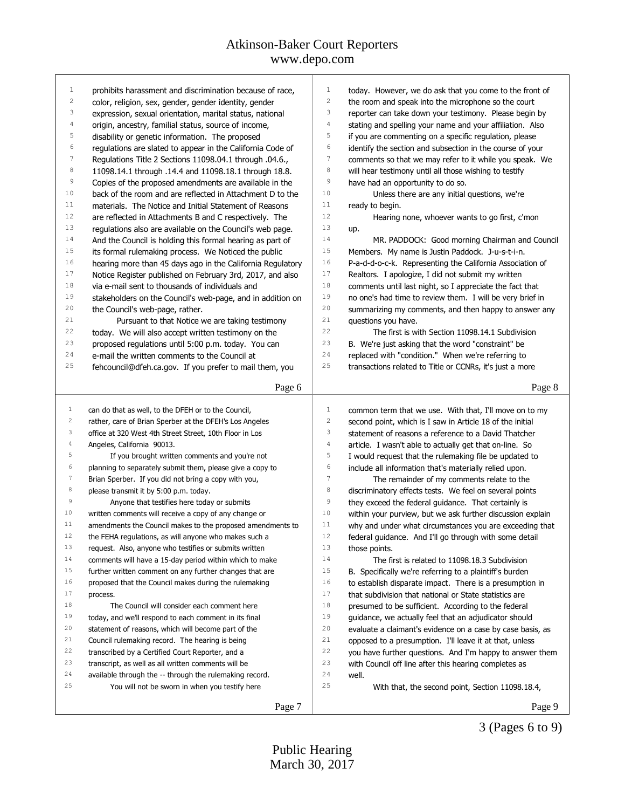| $\mathbf{1}$            | prohibits harassment and discrimination because of race,                                                    | $\mathbf{1}$<br>today. However, we do ask that you come to the front of<br>2                                           |
|-------------------------|-------------------------------------------------------------------------------------------------------------|------------------------------------------------------------------------------------------------------------------------|
| $\overline{\mathbf{c}}$ | color, religion, sex, gender, gender identity, gender                                                       | the room and speak into the microphone so the court                                                                    |
| 3                       | expression, sexual orientation, marital status, national                                                    | 3<br>reporter can take down your testimony. Please begin by                                                            |
| $\overline{4}$          | origin, ancestry, familial status, source of income,                                                        | $\sqrt{4}$<br>stating and spelling your name and your affiliation. Also                                                |
| 5                       | disability or genetic information. The proposed                                                             | 5<br>if you are commenting on a specific regulation, please                                                            |
| 6                       | regulations are slated to appear in the California Code of                                                  | 6<br>identify the section and subsection in the course of your                                                         |
| $\boldsymbol{7}$        | Regulations Title 2 Sections 11098.04.1 through .04.6.,                                                     | 7<br>comments so that we may refer to it while you speak. We                                                           |
| $^{\rm 8}$              | 11098.14.1 through .14.4 and 11098.18.1 through 18.8.                                                       | 8<br>will hear testimony until all those wishing to testify                                                            |
| $\,9$                   | Copies of the proposed amendments are available in the                                                      | 9<br>have had an opportunity to do so.                                                                                 |
| 10                      | back of the room and are reflected in Attachment D to the                                                   | 10<br>Unless there are any initial questions, we're                                                                    |
| 11                      | materials. The Notice and Initial Statement of Reasons                                                      | 11<br>ready to begin.                                                                                                  |
| 12                      | are reflected in Attachments B and C respectively. The                                                      | 12<br>Hearing none, whoever wants to go first, c'mon                                                                   |
| 13                      | regulations also are available on the Council's web page.                                                   | 13<br>up.                                                                                                              |
| 14                      | And the Council is holding this formal hearing as part of                                                   | 14<br>MR. PADDOCK: Good morning Chairman and Council                                                                   |
| 15                      | its formal rulemaking process. We Noticed the public                                                        | 15<br>Members. My name is Justin Paddock. J-u-s-t-i-n.                                                                 |
| 16                      | hearing more than 45 days ago in the California Regulatory                                                  | 16<br>P-a-d-d-o-c-k. Representing the California Association of                                                        |
| 17                      | Notice Register published on February 3rd, 2017, and also                                                   | 17<br>Realtors. I apologize, I did not submit my written                                                               |
| 18                      | via e-mail sent to thousands of individuals and                                                             | 18<br>comments until last night, so I appreciate the fact that                                                         |
| 19                      | stakeholders on the Council's web-page, and in addition on                                                  | 19<br>no one's had time to review them. I will be very brief in                                                        |
| 20                      | the Council's web-page, rather.                                                                             | 20<br>summarizing my comments, and then happy to answer any                                                            |
| 21                      | Pursuant to that Notice we are taking testimony                                                             | 21<br>questions you have.                                                                                              |
| 22                      | today. We will also accept written testimony on the                                                         | 22<br>The first is with Section 11098.14.1 Subdivision                                                                 |
| 23                      | proposed regulations until 5:00 p.m. today. You can                                                         | 23<br>B. We're just asking that the word "constraint" be                                                               |
| 24                      | e-mail the written comments to the Council at                                                               | 24<br>replaced with "condition." When we're referring to                                                               |
| 25                      | fehcouncil@dfeh.ca.gov. If you prefer to mail them, you                                                     | 25<br>transactions related to Title or CCNRs, it's just a more                                                         |
|                         |                                                                                                             |                                                                                                                        |
|                         | Page 6                                                                                                      | Page 8                                                                                                                 |
| $\mathbf{1}$            | can do that as well, to the DFEH or to the Council,                                                         | 1                                                                                                                      |
| $\overline{\mathbf{c}}$ | rather, care of Brian Sperber at the DFEH's Los Angeles                                                     | common term that we use. With that, I'll move on to my<br>2                                                            |
| 3                       | office at 320 West 4th Street Street, 10th Floor in Los                                                     | second point, which is I saw in Article 18 of the initial<br>3<br>statement of reasons a reference to a David Thatcher |
| 4                       | Angeles, California 90013.                                                                                  | 4<br>article. I wasn't able to actually get that on-line. So                                                           |
| 5                       |                                                                                                             | 5                                                                                                                      |
| 6                       | If you brought written comments and you're not<br>planning to separately submit them, please give a copy to | I would request that the rulemaking file be updated to<br>6                                                            |
| $\boldsymbol{7}$        | Brian Sperber. If you did not bring a copy with you,                                                        | include all information that's materially relied upon.<br>7                                                            |
| 8                       |                                                                                                             | The remainder of my comments relate to the<br>8                                                                        |
| $\,9$                   | please transmit it by 5:00 p.m. today.                                                                      | discriminatory effects tests. We feel on several points<br>9                                                           |
| 10                      | Anyone that testifies here today or submits                                                                 | they exceed the federal guidance. That certainly is<br>10                                                              |
| 11                      | written comments will receive a copy of any change or                                                       | within your purview, but we ask further discussion explain                                                             |
|                         | amendments the Council makes to the proposed amendments to                                                  | 11<br>why and under what circumstances you are exceeding that                                                          |
| 12                      | the FEHA regulations, as will anyone who makes such a                                                       | 12<br>federal guidance. And I'll go through with some detail                                                           |
| 13                      | request. Also, anyone who testifies or submits written                                                      | 13<br>those points.                                                                                                    |
| 14                      | comments will have a 15-day period within which to make                                                     | 14<br>The first is related to 11098.18.3 Subdivision                                                                   |
| 15                      | further written comment on any further changes that are                                                     | 15<br>B. Specifically we're referring to a plaintiff's burden                                                          |
| 16                      | proposed that the Council makes during the rulemaking                                                       | 16<br>to establish disparate impact. There is a presumption in                                                         |
| 17                      | process.                                                                                                    | 17<br>that subdivision that national or State statistics are                                                           |
| 18                      | The Council will consider each comment here                                                                 | 18<br>presumed to be sufficient. According to the federal                                                              |
| 19                      | today, and we'll respond to each comment in its final                                                       | 19<br>guidance, we actually feel that an adjudicator should                                                            |
| 20                      | statement of reasons, which will become part of the                                                         | 20<br>evaluate a claimant's evidence on a case by case basis, as                                                       |
| 21                      | Council rulemaking record. The hearing is being                                                             | 21<br>opposed to a presumption. I'll leave it at that, unless                                                          |
| 22                      | transcribed by a Certified Court Reporter, and a                                                            | 22<br>you have further questions. And I'm happy to answer them                                                         |
| 23                      | transcript, as well as all written comments will be                                                         | 23<br>with Council off line after this hearing completes as                                                            |
| 24                      | available through the -- through the rulemaking record.                                                     | 24<br>well.                                                                                                            |
| 25                      |                                                                                                             |                                                                                                                        |
|                         | You will not be sworn in when you testify here                                                              | 25<br>With that, the second point, Section 11098.18.4,                                                                 |
|                         | Page 7                                                                                                      | Page 9                                                                                                                 |

3 (Pages 6 to 9)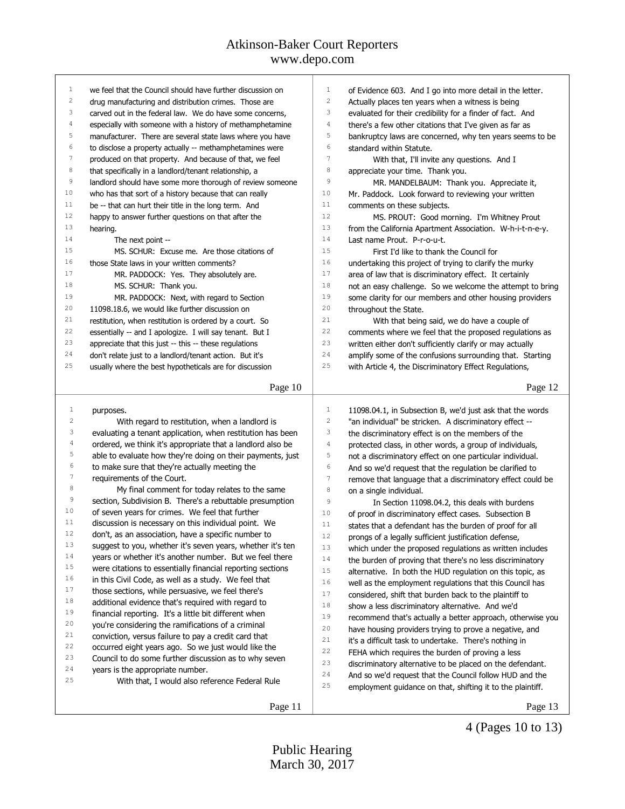| 1                       | we feel that the Council should have further discussion on | $\mathbf{1}$<br>of Evidence 603. And I go into more detail in the letter.     |
|-------------------------|------------------------------------------------------------|-------------------------------------------------------------------------------|
| $\overline{\mathbf{c}}$ | drug manufacturing and distribution crimes. Those are      | $\sqrt{2}$<br>Actually places ten years when a witness is being               |
| 3                       | carved out in the federal law. We do have some concerns,   | 3<br>evaluated for their credibility for a finder of fact. And                |
| 4                       | especially with someone with a history of methamphetamine  | $\sqrt{4}$<br>there's a few other citations that I've given as far as         |
| 5                       | manufacturer. There are several state laws where you have  | 5<br>bankruptcy laws are concerned, why ten years seems to be                 |
| 6                       | to disclose a property actually -- methamphetamines were   | 6<br>standard within Statute.                                                 |
| 7                       | produced on that property. And because of that, we feel    | $\overline{7}$<br>With that, I'll invite any questions. And I                 |
| 8                       | that specifically in a landlord/tenant relationship, a     | 8<br>appreciate your time. Thank you.                                         |
| 9                       | landlord should have some more thorough of review someone  | 9<br>MR. MANDELBAUM: Thank you. Appreciate it,                                |
| 10                      | who has that sort of a history because that can really     | 10<br>Mr. Paddock. Look forward to reviewing your written                     |
| 11                      | be -- that can hurt their title in the long term. And      | 11<br>comments on these subjects.                                             |
| 12                      | happy to answer further questions on that after the        | 12<br>MS. PROUT: Good morning. I'm Whitney Prout                              |
| 13                      | hearing.                                                   | 13<br>from the California Apartment Association. W-h-i-t-n-e-y.               |
| 14                      | The next point --                                          | 14<br>Last name Prout. P-r-o-u-t.                                             |
| 15                      | MS. SCHUR: Excuse me. Are those citations of               | 15<br>First I'd like to thank the Council for                                 |
| 16                      | those State laws in your written comments?                 | 16<br>undertaking this project of trying to clarify the murky                 |
| 17                      | MR. PADDOCK: Yes. They absolutely are.                     | $17$<br>area of law that is discriminatory effect. It certainly               |
| 18                      | MS. SCHUR: Thank you.                                      | $1\,8$<br>not an easy challenge. So we welcome the attempt to bring           |
| 19                      | MR. PADDOCK: Next, with regard to Section                  | 19<br>some clarity for our members and other housing providers                |
| 20                      | 11098.18.6, we would like further discussion on            | 20<br>throughout the State.                                                   |
| 21                      | restitution, when restitution is ordered by a court. So    | 21<br>With that being said, we do have a couple of                            |
| 22                      | essentially -- and I apologize. I will say tenant. But I   | 22<br>comments where we feel that the proposed regulations as                 |
| 23                      | appreciate that this just -- this -- these regulations     | 23<br>written either don't sufficiently clarify or may actually               |
| 24                      | don't relate just to a landlord/tenant action. But it's    | 24<br>amplify some of the confusions surrounding that. Starting               |
| 25                      | usually where the best hypotheticals are for discussion    | 25<br>with Article 4, the Discriminatory Effect Regulations,                  |
|                         |                                                            |                                                                               |
|                         | Page 10                                                    | Page 12                                                                       |
|                         |                                                            |                                                                               |
|                         |                                                            |                                                                               |
| 1                       | purposes.                                                  | 1<br>11098.04.1, in Subsection B, we'd just ask that the words                |
| $\sqrt{2}$              | With regard to restitution, when a landlord is             | $\sqrt{2}$<br>"an individual" be stricken. A discriminatory effect --         |
| 3                       | evaluating a tenant application, when restitution has been | 3<br>the discriminatory effect is on the members of the                       |
| $\sqrt{4}$              | ordered, we think it's appropriate that a landlord also be | 4<br>protected class, in other words, a group of individuals,                 |
| 5                       | able to evaluate how they're doing on their payments, just | 5<br>not a discriminatory effect on one particular individual.                |
| 6                       | to make sure that they're actually meeting the             | 6<br>And so we'd request that the regulation be clarified to                  |
| $\overline{7}$          | requirements of the Court.                                 | $7\phantom{.0}$<br>remove that language that a discriminatory effect could be |
| $\,$ 8 $\,$             | My final comment for today relates to the same             | $\,8\,$<br>on a single individual.                                            |
| 9                       | section, Subdivision B. There's a rebuttable presumption   | $\overline{9}$<br>In Section 11098.04.2, this deals with burdens              |
| 10                      | of seven years for crimes. We feel that further            | 10<br>of proof in discriminatory effect cases. Subsection B                   |
| 11                      | discussion is necessary on this individual point. We       | 11<br>states that a defendant has the burden of proof for all                 |
| 12                      | don't, as an association, have a specific number to        | 12<br>prongs of a legally sufficient justification defense,                   |
| 13                      | suggest to you, whether it's seven years, whether it's ten | 13<br>which under the proposed regulations as written includes                |
| 14                      | years or whether it's another number. But we feel there    | 14<br>the burden of proving that there's no less discriminatory               |
| 15                      | were citations to essentially financial reporting sections | 15<br>alternative. In both the HUD regulation on this topic, as               |
| 16                      | in this Civil Code, as well as a study. We feel that       | 16<br>well as the employment regulations that this Council has                |
| 17                      | those sections, while persuasive, we feel there's          | $17$<br>considered, shift that burden back to the plaintiff to                |
| 18                      | additional evidence that's required with regard to         | 18<br>show a less discriminatory alternative. And we'd                        |
| 19                      | financial reporting. It's a little bit different when      | 19<br>recommend that's actually a better approach, otherwise you              |
| 20                      | you're considering the ramifications of a criminal         | 20<br>have housing providers trying to prove a negative, and                  |
| 21                      | conviction, versus failure to pay a credit card that       | 21<br>it's a difficult task to undertake. There's nothing in                  |
| 22                      | occurred eight years ago. So we just would like the        | 22<br>FEHA which requires the burden of proving a less                        |
| 23                      | Council to do some further discussion as to why seven      | 23                                                                            |
| 24                      | years is the appropriate number.                           | discriminatory alternative to be placed on the defendant.<br>24               |
| 25                      | With that, I would also reference Federal Rule             | And so we'd request that the Council follow HUD and the<br>25                 |
|                         |                                                            | employment guidance on that, shifting it to the plaintiff.                    |

4 (Pages 10 to 13)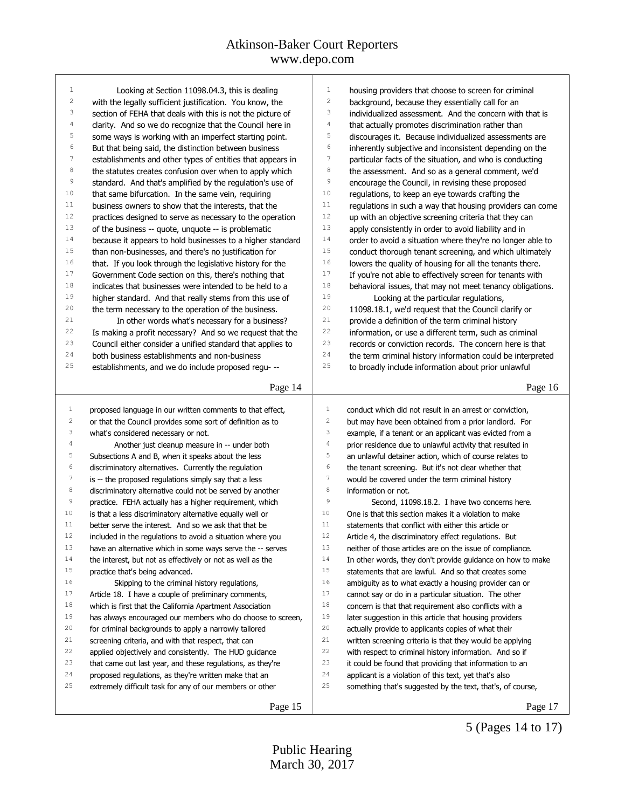| 1                       | Looking at Section 11098.04.3, this is dealing             | 1                | housing providers that choose to screen for criminal       |
|-------------------------|------------------------------------------------------------|------------------|------------------------------------------------------------|
| $\sqrt{2}$              | with the legally sufficient justification. You know, the   | $\sqrt{2}$       | background, because they essentially call for an           |
| 3                       | section of FEHA that deals with this is not the picture of | 3                | individualized assessment. And the concern with that is    |
| 4                       | clarity. And so we do recognize that the Council here in   | $\sqrt{4}$       | that actually promotes discrimination rather than          |
| 5                       | some ways is working with an imperfect starting point.     | 5                | discourages it. Because individualized assessments are     |
| 6                       | But that being said, the distinction between business      | $\epsilon$       | inherently subjective and inconsistent depending on the    |
| $\boldsymbol{7}$        | establishments and other types of entities that appears in | $\boldsymbol{7}$ | particular facts of the situation, and who is conducting   |
| $^{\rm 8}$              | the statutes creates confusion over when to apply which    | 8                | the assessment. And so as a general comment, we'd          |
| $\mathsf 9$             | standard. And that's amplified by the regulation's use of  | 9                | encourage the Council, in revising these proposed          |
| 10                      | that same bifurcation. In the same vein, requiring         | 10               | regulations, to keep an eye towards crafting the           |
| 11                      | business owners to show that the interests, that the       | 11               | regulations in such a way that housing providers can come  |
| 12                      | practices designed to serve as necessary to the operation  | 12               | up with an objective screening criteria that they can      |
| 13                      | of the business -- quote, unquote -- is problematic        | 13               | apply consistently in order to avoid liability and in      |
| 14                      | because it appears to hold businesses to a higher standard | 14               | order to avoid a situation where they're no longer able to |
| 15                      | than non-businesses, and there's no justification for      | 15               | conduct thorough tenant screening, and which ultimately    |
| 16                      | that. If you look through the legislative history for the  | 16               | lowers the quality of housing for all the tenants there.   |
| 17                      | Government Code section on this, there's nothing that      | 17               | If you're not able to effectively screen for tenants with  |
| 18                      | indicates that businesses were intended to be held to a    | 18               | behavioral issues, that may not meet tenancy obligations.  |
| 19                      | higher standard. And that really stems from this use of    | 19               | Looking at the particular regulations,                     |
| 20                      | the term necessary to the operation of the business.       | 20               | 11098.18.1, we'd request that the Council clarify or       |
| 21                      | In other words what's necessary for a business?            | 21               | provide a definition of the term criminal history          |
| 22                      | Is making a profit necessary? And so we request that the   | 22               | information, or use a different term, such as criminal     |
| 23                      | Council either consider a unified standard that applies to | 23               | records or conviction records. The concern here is that    |
| 24                      | both business establishments and non-business              | 24               | the term criminal history information could be interpreted |
| 25                      | establishments, and we do include proposed regu- --        | 25               | to broadly include information about prior unlawful        |
|                         |                                                            |                  |                                                            |
|                         | Page 14                                                    |                  | Page 16                                                    |
|                         |                                                            |                  |                                                            |
| $\mathbf{1}$            | proposed language in our written comments to that effect,  | $\mathbf{1}$     | conduct which did not result in an arrest or conviction,   |
| $\overline{\mathbf{c}}$ | or that the Council provides some sort of definition as to | $\overline{c}$   | but may have been obtained from a prior landlord. For      |
| 3                       | what's considered necessary or not.                        | 3                | example, if a tenant or an applicant was evicted from a    |
| 4                       | Another just cleanup measure in -- under both              | $\sqrt{4}$       | prior residence due to unlawful activity that resulted in  |
| 5                       | Subsections A and B, when it speaks about the less         | 5                | an unlawful detainer action, which of course relates to    |
| 6                       | discriminatory alternatives. Currently the regulation      | 6                | the tenant screening. But it's not clear whether that      |
| 7                       | is -- the proposed regulations simply say that a less      | $\boldsymbol{7}$ | would be covered under the term criminal history           |
| 8                       | discriminatory alternative could not be served by another  | 8                | information or not.                                        |
| 9                       | practice. FEHA actually has a higher requirement, which    | 9                | Second, 11098.18.2. I have two concerns here.              |
| 10                      | is that a less discriminatory alternative equally well or  | 10               | One is that this section makes it a violation to make      |
| 11                      | better serve the interest. And so we ask that that be      | 11               | statements that conflict with either this article or       |
| 12                      | included in the regulations to avoid a situation where you | $12\,$           | Article 4, the discriminatory effect regulations. But      |
| 13                      | have an alternative which in some ways serve the -- serves | 13               | neither of those articles are on the issue of compliance.  |
| 14                      | the interest, but not as effectively or not as well as the | 14               | In other words, they don't provide guidance on how to make |
| 15                      | practice that's being advanced.                            | 15               | statements that are lawful. And so that creates some       |
| 16                      | Skipping to the criminal history regulations,              | 16               | ambiguity as to what exactly a housing provider can or     |
| 17                      | Article 18. I have a couple of preliminary comments,       | 17               | cannot say or do in a particular situation. The other      |
| $1\,8$                  | which is first that the California Apartment Association   | $1\,8$           | concern is that that requirement also conflicts with a     |
| 19                      | has always encouraged our members who do choose to screen, | 19               | later suggestion in this article that housing providers    |
| 20                      | for criminal backgrounds to apply a narrowly tailored      | 20               | actually provide to applicants copies of what their        |
| 21                      | screening criteria, and with that respect, that can        | 21               | written screening criteria is that they would be applying  |
| 22                      | applied objectively and consistently. The HUD guidance     | 22               | with respect to criminal history information. And so if    |
| 23                      | that came out last year, and these regulations, as they're | 23               | it could be found that providing that information to an    |
| 24                      | proposed regulations, as they're written make that an      | 24               | applicant is a violation of this text, yet that's also     |
| 25                      | extremely difficult task for any of our members or other   | 25               | something that's suggested by the text, that's, of course, |
|                         | Page 15                                                    |                  | Page 17                                                    |
|                         |                                                            |                  |                                                            |

5 (Pages 14 to 17)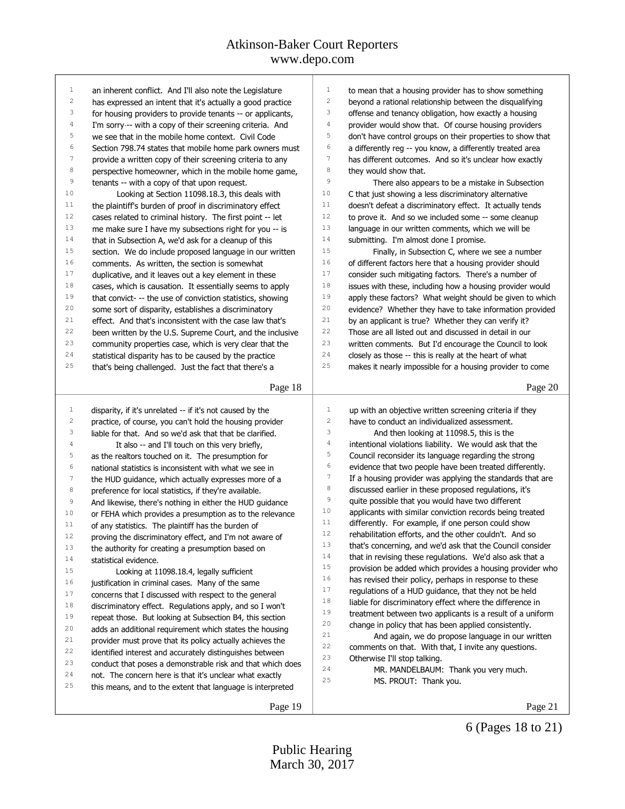| $\mathbf{1}$            | an inherent conflict. And I'll also note the Legislature                                                               | 1                       | to mean that a housing provider has to show something      |
|-------------------------|------------------------------------------------------------------------------------------------------------------------|-------------------------|------------------------------------------------------------|
| $\mathbf{2}$            | has expressed an intent that it's actually a good practice                                                             | $\sqrt{2}$              | beyond a rational relationship between the disqualifying   |
| 3                       | for housing providers to provide tenants -- or applicants,                                                             | 3                       | offense and tenancy obligation, how exactly a housing      |
| 4                       | I'm sorry -- with a copy of their screening criteria. And                                                              | $\sqrt{4}$              | provider would show that. Of course housing providers      |
| 5                       | we see that in the mobile home context. Civil Code                                                                     | 5                       | don't have control groups on their properties to show that |
| 6                       | Section 798.74 states that mobile home park owners must                                                                | 6                       | a differently reg -- you know, a differently treated area  |
| 7                       | provide a written copy of their screening criteria to any                                                              | $\boldsymbol{7}$        | has different outcomes. And so it's unclear how exactly    |
| 8                       | perspective homeowner, which in the mobile home game,                                                                  | 8                       | they would show that.                                      |
| $\,9$                   | tenants -- with a copy of that upon request.                                                                           | 9                       | There also appears to be a mistake in Subsection           |
| 10                      | Looking at Section 11098.18.3, this deals with                                                                         | 10                      | C that just showing a less discriminatory alternative      |
| 11                      | the plaintiff's burden of proof in discriminatory effect                                                               | 11                      | doesn't defeat a discriminatory effect. It actually tends  |
| 12                      | cases related to criminal history. The first point -- let                                                              | 12                      | to prove it. And so we included some -- some cleanup       |
| 13                      | me make sure I have my subsections right for you -- is                                                                 | 13                      | language in our written comments, which we will be         |
| 14                      | that in Subsection A, we'd ask for a cleanup of this                                                                   | 14                      | submitting. I'm almost done I promise.                     |
| 15                      | section. We do include proposed language in our written                                                                | 15                      | Finally, in Subsection C, where we see a number            |
| 16                      | comments. As written, the section is somewhat                                                                          | 16                      | of different factors here that a housing provider should   |
| 17                      | duplicative, and it leaves out a key element in these                                                                  | 17                      | consider such mitigating factors. There's a number of      |
| 18                      | cases, which is causation. It essentially seems to apply                                                               | 18                      | issues with these, including how a housing provider would  |
| 19                      | that convict- -- the use of conviction statistics, showing                                                             | 19                      | apply these factors? What weight should be given to which  |
| 20                      | some sort of disparity, establishes a discriminatory                                                                   | 20                      | evidence? Whether they have to take information provided   |
| 21                      | effect. And that's inconsistent with the case law that's                                                               | 21                      | by an applicant is true? Whether they can verify it?       |
| 22                      | been written by the U.S. Supreme Court, and the inclusive                                                              | 22                      | Those are all listed out and discussed in detail in our    |
| 23                      | community properties case, which is very clear that the                                                                | 23                      | written comments. But I'd encourage the Council to look    |
| 24                      | statistical disparity has to be caused by the practice                                                                 | 24                      | closely as those -- this is really at the heart of what    |
| 25                      | that's being challenged. Just the fact that there's a                                                                  | 25                      | makes it nearly impossible for a housing provider to come  |
|                         |                                                                                                                        |                         |                                                            |
|                         | Page 18                                                                                                                |                         | Page 20                                                    |
|                         |                                                                                                                        |                         |                                                            |
| 1                       | disparity, if it's unrelated -- if it's not caused by the                                                              | $1\,$                   | up with an objective written screening criteria if they    |
| $\overline{\mathbf{c}}$ | practice, of course, you can't hold the housing provider                                                               | $\overline{\mathbf{c}}$ | have to conduct an individualized assessment.              |
| 3                       | liable for that. And so we'd ask that that be clarified.                                                               | 3                       | And then looking at 11098.5, this is the                   |
| 4                       | It also -- and I'll touch on this very briefly,                                                                        | $\sqrt{4}$              | intentional violations liability. We would ask that the    |
| 5                       | as the realtors touched on it. The presumption for                                                                     | 5                       | Council reconsider its language regarding the strong       |
| 6                       | national statistics is inconsistent with what we see in                                                                | $\epsilon$              | evidence that two people have been treated differently.    |
| $\overline{7}$          | the HUD guidance, which actually expresses more of a                                                                   | $\boldsymbol{7}$        | If a housing provider was applying the standards that are  |
| $\,8\,$                 | preference for local statistics, if they're available.                                                                 | $^{\rm 8}$              | discussed earlier in these proposed regulations, it's      |
| 9                       | And likewise, there's nothing in either the HUD guidance                                                               | $\mathsf 9$             | quite possible that you would have two different           |
| 10                      | or FEHA which provides a presumption as to the relevance                                                               | 10                      | applicants with similar conviction records being treated   |
| 11                      | of any statistics. The plaintiff has the burden of                                                                     | 11                      | differently. For example, if one person could show         |
| $12$                    | proving the discriminatory effect, and I'm not aware of                                                                | 12                      | rehabilitation efforts, and the other couldn't. And so     |
| 13                      |                                                                                                                        |                         |                                                            |
| 14                      | the authority for creating a presumption based on                                                                      | 13                      | that's concerning, and we'd ask that the Council consider  |
|                         | statistical evidence.                                                                                                  | 14                      | that in revising these regulations. We'd also ask that a   |
| 15                      | Looking at 11098.18.4, legally sufficient                                                                              | 15                      | provision be added which provides a housing provider who   |
| 16                      | justification in criminal cases. Many of the same                                                                      | 16                      | has revised their policy, perhaps in response to these     |
| 17                      |                                                                                                                        | 17                      | regulations of a HUD guidance, that they not be held       |
| 18                      | concerns that I discussed with respect to the general<br>discriminatory effect. Regulations apply, and so I won't      | 18                      | liable for discriminatory effect where the difference in   |
| 19                      |                                                                                                                        | 19                      | treatment between two applicants is a result of a uniform  |
| 20                      | repeat those. But looking at Subsection B4, this section                                                               | 20                      | change in policy that has been applied consistently.       |
| 21                      | adds an additional requirement which states the housing                                                                | 21                      | And again, we do propose language in our written           |
| 22                      | provider must prove that its policy actually achieves the                                                              | 22                      | comments on that. With that, I invite any questions.       |
| 23                      | identified interest and accurately distinguishes between<br>conduct that poses a demonstrable risk and that which does | 23                      | Otherwise I'll stop talking.                               |
| 24                      | not. The concern here is that it's unclear what exactly                                                                | 24                      | MR. MANDELBAUM: Thank you very much.                       |
| 25                      | this means, and to the extent that language is interpreted                                                             | 25                      | MS. PROUT: Thank you.                                      |
|                         | Page 19                                                                                                                |                         | Page 21                                                    |

6 (Pages 18 to 21)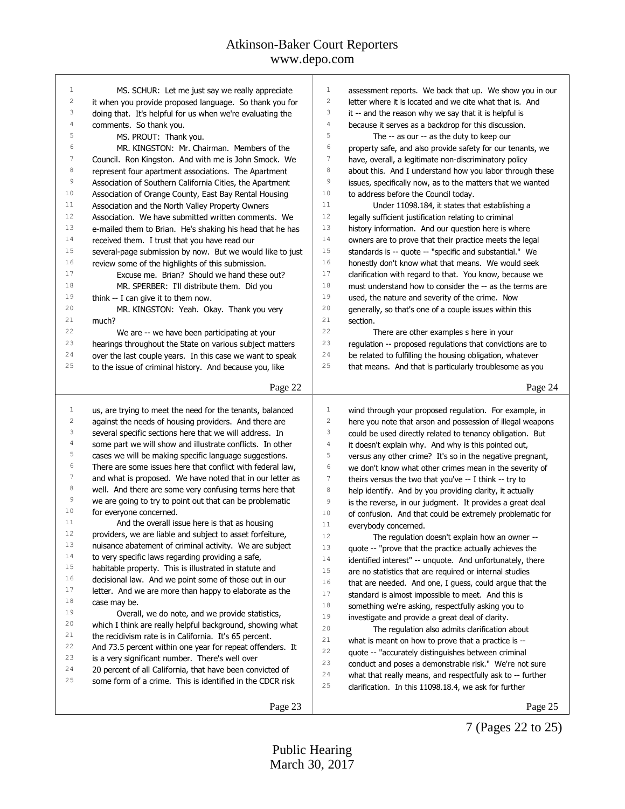| 1              | MS. SCHUR: Let me just say we really appreciate                                                                    | $\mathbf{1}$<br>assessment reports. We back that up. We show you in our             |
|----------------|--------------------------------------------------------------------------------------------------------------------|-------------------------------------------------------------------------------------|
| 2              | it when you provide proposed language. So thank you for                                                            | $\overline{\mathbf{c}}$<br>letter where it is located and we cite what that is. And |
| 3              | doing that. It's helpful for us when we're evaluating the                                                          | 3<br>it -- and the reason why we say that it is helpful is                          |
| 4              | comments. So thank you.                                                                                            | 4<br>because it serves as a backdrop for this discussion.                           |
| 5              | MS. PROUT: Thank you.                                                                                              | 5<br>The -- as our -- as the duty to keep our                                       |
| 6              | MR. KINGSTON: Mr. Chairman. Members of the                                                                         | 6<br>property safe, and also provide safety for our tenants, we                     |
| 7              | Council. Ron Kingston. And with me is John Smock. We                                                               | 7<br>have, overall, a legitimate non-discriminatory policy                          |
| 8              | represent four apartment associations. The Apartment                                                               | 8<br>about this. And I understand how you labor through these                       |
| 9              | Association of Southern California Cities, the Apartment                                                           | 9<br>issues, specifically now, as to the matters that we wanted                     |
| 10             | Association of Orange County, East Bay Rental Housing                                                              | 10<br>to address before the Council today.                                          |
| 11             | Association and the North Valley Property Owners                                                                   | 11<br>Under 11098.184, it states that establishing a                                |
| 12             | Association. We have submitted written comments. We                                                                | 12<br>legally sufficient justification relating to criminal                         |
| 13             | e-mailed them to Brian. He's shaking his head that he has                                                          | 13<br>history information. And our question here is where                           |
| 14             | received them. I trust that you have read our                                                                      | 14<br>owners are to prove that their practice meets the legal                       |
| 15             | several-page submission by now. But we would like to just                                                          | 15<br>standards is -- quote -- "specific and substantial." We                       |
| 16             | review some of the highlights of this submission.                                                                  | 16<br>honestly don't know what that means. We would seek                            |
| 17             | Excuse me. Brian? Should we hand these out?                                                                        | 17<br>clarification with regard to that. You know, because we                       |
| 18             | MR. SPERBER: I'll distribute them. Did you                                                                         | $1\,8$<br>must understand how to consider the -- as the terms are                   |
| 19             | think -- I can give it to them now.                                                                                | 19<br>used, the nature and severity of the crime. Now                               |
| 20             | MR. KINGSTON: Yeah. Okay. Thank you very                                                                           | 20<br>generally, so that's one of a couple issues within this                       |
| 21             | much?                                                                                                              | 21<br>section.                                                                      |
| 22             | We are -- we have been participating at your                                                                       | 22<br>There are other examples s here in your                                       |
| 23             | hearings throughout the State on various subject matters                                                           | 23<br>regulation -- proposed regulations that convictions are to                    |
| 24             | over the last couple years. In this case we want to speak                                                          | 24<br>be related to fulfilling the housing obligation, whatever                     |
| 25             | to the issue of criminal history. And because you, like                                                            | 25<br>that means. And that is particularly troublesome as you                       |
|                |                                                                                                                    |                                                                                     |
|                | Page 22                                                                                                            | Page 24                                                                             |
| $\mathbf{1}$   |                                                                                                                    | $\mathbf{1}$<br>wind through your proposed regulation. For example, in              |
| 2              | us, are trying to meet the need for the tenants, balanced<br>against the needs of housing providers. And there are | $\overline{c}$<br>here you note that arson and possession of illegal weapons        |
| 3              | several specific sections here that we will address. In                                                            | 3<br>could be used directly related to tenancy obligation. But                      |
| 4              | some part we will show and illustrate conflicts. In other                                                          | 4<br>it doesn't explain why. And why is this pointed out,                           |
| 5              | cases we will be making specific language suggestions.                                                             | 5<br>versus any other crime? It's so in the negative pregnant,                      |
| 6              | There are some issues here that conflict with federal law,                                                         | 6<br>we don't know what other crimes mean in the severity of                        |
| $\overline{7}$ | and what is proposed. We have noted that in our letter as                                                          | 7<br>theirs versus the two that you've -- I think -- try to                         |
| 8              | well. And there are some very confusing terms here that                                                            | 8                                                                                   |
| $\,9$          | we are going to try to point out that can be problematic                                                           | help identify. And by you providing clarity, it actually<br>9                       |
| 10             | for everyone concerned.                                                                                            | is the reverse, in our judgment. It provides a great deal<br>10                     |
| 11             | And the overall issue here is that as housing                                                                      | of confusion. And that could be extremely problematic for<br>$1\,1$                 |
| 12             | providers, we are liable and subject to asset forfeiture                                                           | everybody concerned.<br>$12$                                                        |
| 13             | nuisance abatement of criminal activity. We are subject                                                            | The regulation doesn't explain how an owner --<br>13                                |
| 14             | to very specific laws regarding providing a safe,                                                                  | quote -- "prove that the practice actually achieves the                             |
| 15             | habitable property. This is illustrated in statute and                                                             | 14<br>identified interest" -- unquote. And unfortunately, there                     |
| 16             | decisional law. And we point some of those out in our                                                              | 15<br>are no statistics that are required or internal studies                       |
| 17             | letter. And we are more than happy to elaborate as the                                                             | 16<br>that are needed. And one, I guess, could argue that the                       |
| 18             | case may be.                                                                                                       | 17<br>standard is almost impossible to meet. And this is                            |
| 19             | Overall, we do note, and we provide statistics,                                                                    | 18<br>something we're asking, respectfully asking you to                            |
| 20             | which I think are really helpful background, showing what                                                          | 19<br>investigate and provide a great deal of clarity.                              |
| 21             | the recidivism rate is in California. It's 65 percent.                                                             | 20<br>The regulation also admits clarification about                                |
| 22             | And 73.5 percent within one year for repeat offenders. It                                                          | 21<br>what is meant on how to prove that a practice is --                           |
| 23             | is a very significant number. There's well over                                                                    | 22<br>quote -- "accurately distinguishes between criminal                           |
| 24             | 20 percent of all California, that have been convicted of                                                          | 23<br>conduct and poses a demonstrable risk." We're not sure                        |
| 25             | some form of a crime. This is identified in the CDCR risk                                                          | 24<br>what that really means, and respectfully ask to -- further                    |
|                |                                                                                                                    | 25<br>clarification. In this 11098.18.4, we ask for further                         |
|                | Page 23                                                                                                            | Page 25                                                                             |
|                |                                                                                                                    |                                                                                     |

7 (Pages 22 to 25)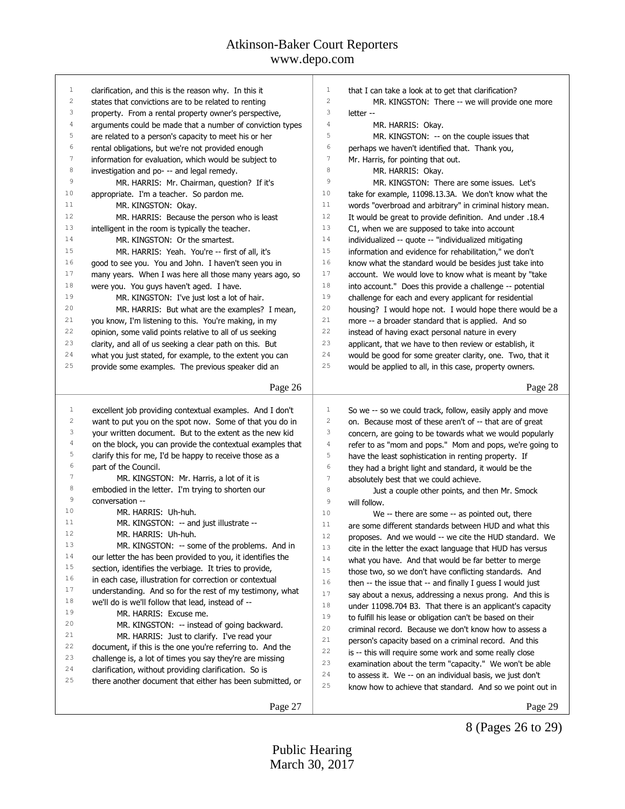# Atkinson-Baker Court Reporters

www.depo.com

| $\mathbf{1}$     | clarification, and this is the reason why. In this it                                                         | 1<br>that I can take a look at to get that clarification?                |
|------------------|---------------------------------------------------------------------------------------------------------------|--------------------------------------------------------------------------|
| $\sqrt{2}$       | states that convictions are to be related to renting                                                          | $\mathbf{2}$<br>MR. KINGSTON: There -- we will provide one more          |
| 3                | property. From a rental property owner's perspective,                                                         | 3<br>letter --                                                           |
| 4                | arguments could be made that a number of conviction types                                                     | $\overline{4}$<br>MR. HARRIS: Okay.                                      |
| 5                | are related to a person's capacity to meet his or her                                                         | 5<br>MR. KINGSTON: -- on the couple issues that                          |
| 6                | rental obligations, but we're not provided enough                                                             | 6<br>perhaps we haven't identified that. Thank you,                      |
| 7                | information for evaluation, which would be subject to                                                         | $\boldsymbol{7}$<br>Mr. Harris, for pointing that out.                   |
| 8                | investigation and po- -- and legal remedy.                                                                    | 8<br>MR. HARRIS: Okay.                                                   |
| 9                | MR. HARRIS: Mr. Chairman, question? If it's                                                                   | 9<br>MR. KINGSTON: There are some issues. Let's                          |
| 10               | appropriate. I'm a teacher. So pardon me.                                                                     | 10<br>take for example, 11098.13.3A. We don't know what the              |
| 11               | MR. KINGSTON: Okay.                                                                                           | 11<br>words "overbroad and arbitrary" in criminal history mean.          |
| 12               | MR. HARRIS: Because the person who is least                                                                   | 12<br>It would be great to provide definition. And under .18.4           |
| 13               | intelligent in the room is typically the teacher.                                                             | 13<br>C1, when we are supposed to take into account                      |
| 14               | MR. KINGSTON: Or the smartest.                                                                                | 14<br>individualized -- quote -- "individualized mitigating              |
| 15               | MR. HARRIS: Yeah. You're -- first of all, it's                                                                | 15<br>information and evidence for rehabilitation," we don't             |
| 16               | good to see you. You and John. I haven't seen you in                                                          | 16<br>know what the standard would be besides just take into             |
| 17               | many years. When I was here all those many years ago, so                                                      | 17<br>account. We would love to know what is meant by "take              |
| $1\,8$           | were you. You guys haven't aged. I have.                                                                      | $1\,8$<br>into account." Does this provide a challenge -- potential      |
| 19               | MR. KINGSTON: I've just lost a lot of hair.                                                                   | 19<br>challenge for each and every applicant for residential             |
| 20               | MR. HARRIS: But what are the examples? I mean,                                                                | 20<br>housing? I would hope not. I would hope there would be a           |
| 21               | you know, I'm listening to this. You're making, in my                                                         | 21<br>more -- a broader standard that is applied. And so                 |
| 22               |                                                                                                               | 22                                                                       |
| 23               | opinion, some valid points relative to all of us seeking                                                      | instead of having exact personal nature in every<br>23                   |
| 24               | clarity, and all of us seeking a clear path on this. But                                                      | applicant, that we have to then review or establish, it<br>24            |
|                  | what you just stated, for example, to the extent you can                                                      | would be good for some greater clarity, one. Two, that it<br>25          |
| 25               | provide some examples. The previous speaker did an                                                            | would be applied to all, in this case, property owners.                  |
|                  | Page 26                                                                                                       | Page 28                                                                  |
|                  |                                                                                                               |                                                                          |
| $\mathbf{1}$     | excellent job providing contextual examples. And I don't                                                      | $\mathbf 1$<br>So we -- so we could track, follow, easily apply and move |
| $\mathbf{2}$     | want to put you on the spot now. Some of that you do in                                                       | 2<br>on. Because most of these aren't of -- that are of great            |
| 3                | your written document. But to the extent as the new kid                                                       | 3<br>concern, are going to be towards what we would popularly            |
| 4                | on the block, you can provide the contextual examples that                                                    | $\sqrt{4}$<br>refer to as "mom and pops." Mom and pops, we're going to   |
| 5                | clarify this for me, I'd be happy to receive those as a                                                       | 5<br>have the least sophistication in renting property. If               |
| 6                | part of the Council.                                                                                          | 6<br>they had a bright light and standard, it would be the               |
| $\boldsymbol{7}$ | MR. KINGSTON: Mr. Harris, a lot of it is                                                                      | 7<br>absolutely best that we could achieve.                              |
| 8                | embodied in the letter. I'm trying to shorten our                                                             | 8<br>Just a couple other points, and then Mr. Smock                      |
| 9                | conversation --                                                                                               | 9<br>will follow.                                                        |
| 10               | MR. HARRIS: Uh-huh.                                                                                           | 10<br>We -- there are some -- as pointed out, there                      |
| 11               | MR. KINGSTON: -- and just illustrate --                                                                       | 11<br>are some different standards between HUD and what this             |
| 12               | MR. HARRIS: Uh-huh.                                                                                           | $1\,2$<br>proposes. And we would -- we cite the HUD standard. We         |
| 13               | MR. KINGSTON: -- some of the problems. And in                                                                 | 13<br>cite in the letter the exact language that HUD has versus          |
| 14               | our letter the has been provided to you, it identifies the                                                    | 14<br>what you have. And that would be far better to merge               |
| 15               | section, identifies the verbiage. It tries to provide,                                                        | $1\,5$<br>those two, so we don't have conflicting standards. And         |
| 16               |                                                                                                               | 16                                                                       |
| 17               | in each case, illustration for correction or contextual                                                       |                                                                          |
|                  |                                                                                                               | then $-$ the issue that $-$ and finally I guess I would just             |
| 18               | understanding. And so for the rest of my testimony, what<br>we'll do is we'll follow that lead, instead of -- | 17<br>say about a nexus, addressing a nexus prong. And this is           |
| 19               | MR. HARRIS: Excuse me.                                                                                        | 18<br>under 11098.704 B3. That there is an applicant's capacity          |
| 20               | MR. KINGSTON: -- instead of going backward.                                                                   | 19<br>to fulfill his lease or obligation can't be based on their         |
| 21               |                                                                                                               | 20<br>criminal record. Because we don't know how to assess a             |
| 22               | MR. HARRIS: Just to clarify. I've read your                                                                   | 21<br>person's capacity based on a criminal record. And this             |
| 23               | document, if this is the one you're referring to. And the                                                     | 22<br>is -- this will require some work and some really close            |
| 24               | challenge is, a lot of times you say they're are missing                                                      | 23<br>examination about the term "capacity." We won't be able            |
| 25               | clarification, without providing clarification. So is                                                         | 24<br>to assess it. We -- on an individual basis, we just don't          |
|                  | there another document that either has been submitted, or                                                     | 25<br>know how to achieve that standard. And so we point out in          |

8 (Pages 26 to 29)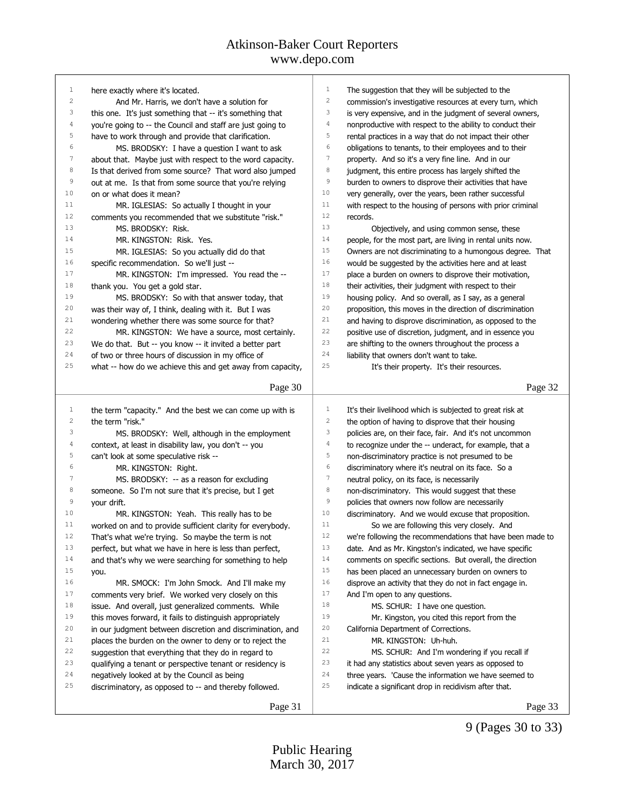| $\mathbf{1}$     | here exactly where it's located.                                             | 1                | The suggestion that they will be subjected to the          |
|------------------|------------------------------------------------------------------------------|------------------|------------------------------------------------------------|
| $\overline{c}$   | And Mr. Harris, we don't have a solution for                                 | $\sqrt{2}$       | commission's investigative resources at every turn, which  |
| 3                | this one. It's just something that -- it's something that                    | 3                | is very expensive, and in the judgment of several owners,  |
| 4                | you're going to -- the Council and staff are just going to                   | 4                | nonproductive with respect to the ability to conduct their |
| 5                | have to work through and provide that clarification.                         | 5                | rental practices in a way that do not impact their other   |
| 6                | MS. BRODSKY: I have a question I want to ask                                 | 6                | obligations to tenants, to their employees and to their    |
| $\boldsymbol{7}$ | about that. Maybe just with respect to the word capacity.                    | $\boldsymbol{7}$ | property. And so it's a very fine line. And in our         |
| 8                | Is that derived from some source? That word also jumped                      | 8                | judgment, this entire process has largely shifted the      |
| $\mathsf 9$      | out at me. Is that from some source that you're relying                      | 9                | burden to owners to disprove their activities that have    |
| 10               | on or what does it mean?                                                     | 10               | very generally, over the years, been rather successful     |
| 11               | MR. IGLESIAS: So actually I thought in your                                  | 11               | with respect to the housing of persons with prior criminal |
| 12               | comments you recommended that we substitute "risk."                          | 12               | records.                                                   |
| 13               | MS. BRODSKY: Risk.                                                           | 13               | Objectively, and using common sense, these                 |
| 14               | MR. KINGSTON: Risk. Yes.                                                     | 14               | people, for the most part, are living in rental units now. |
| 15               | MR. IGLESIAS: So you actually did do that                                    | 15               | Owners are not discriminating to a humongous degree. That  |
| 16               | specific recommendation. So we'll just --                                    | 16               | would be suggested by the activities here and at least     |
| 17               | MR. KINGSTON: I'm impressed. You read the --                                 | 17               | place a burden on owners to disprove their motivation,     |
| 18               | thank you. You get a gold star.                                              | 18               | their activities, their judgment with respect to their     |
| 19               | MS. BRODSKY: So with that answer today, that                                 | 19               | housing policy. And so overall, as I say, as a general     |
| 20               | was their way of, I think, dealing with it. But I was                        | 20               | proposition, this moves in the direction of discrimination |
| 21               | wondering whether there was some source for that?                            | 21               | and having to disprove discrimination, as opposed to the   |
| 22               | MR. KINGSTON: We have a source, most certainly.                              | 22               | positive use of discretion, judgment, and in essence you   |
| 23               | We do that. But -- you know -- it invited a better part                      | 23               | are shifting to the owners throughout the process a        |
| 24               | of two or three hours of discussion in my office of                          | 24               | liability that owners don't want to take.                  |
| 25               | what -- how do we achieve this and get away from capacity,                   | 25               | It's their property. It's their resources.                 |
|                  |                                                                              |                  |                                                            |
|                  | Page 30                                                                      |                  | Page 32                                                    |
| 1                |                                                                              | 1                |                                                            |
| 2                | the term "capacity." And the best we can come up with is<br>the term "risk." | $\sqrt{2}$       | It's their livelihood which is subjected to great risk at  |
| 3                |                                                                              | 3                | the option of having to disprove that their housing        |
| 4                | MS. BRODSKY: Well, although in the employment                                | 4                | policies are, on their face, fair. And it's not uncommon   |
| 5                | context, at least in disability law, you don't -- you                        | 5                | to recognize under the -- underact, for example, that a    |
| 6                | can't look at some speculative risk --                                       | 6                | non-discriminatory practice is not presumed to be          |
| 7                | MR. KINGSTON: Right.                                                         | 7                | discriminatory where it's neutral on its face. So a        |
| 8                | MS. BRODSKY: -- as a reason for excluding                                    | 8                | neutral policy, on its face, is necessarily                |
| 9                | someone. So I'm not sure that it's precise, but I get                        | 9                | non-discriminatory. This would suggest that these          |
| 10               | your drift.                                                                  | 10               | policies that owners now follow are necessarily            |
| 11               | MR. KINGSTON: Yeah. This really has to be                                    | 11               | discriminatory. And we would excuse that proposition.      |
|                  | worked on and to provide sufficient clarity for everybody.                   |                  | So we are following this very closely. And                 |
| 12               | That's what we're trying. So maybe the term is not                           | 12               | we're following the recommendations that have been made to |
| 13               | perfect, but what we have in here is less than perfect,                      | 13               | date. And as Mr. Kingston's indicated, we have specific    |
| 14               | and that's why we were searching for something to help                       | 14               | comments on specific sections. But overall, the direction  |
| 15               | you.                                                                         | 15               | has been placed an unnecessary burden on owners to         |
| 16               | MR. SMOCK: I'm John Smock. And I'll make my                                  | 16               | disprove an activity that they do not in fact engage in.   |
| 17               | comments very brief. We worked very closely on this                          | 17               | And I'm open to any questions.                             |
| 18               | issue. And overall, just generalized comments. While                         | 18               | MS. SCHUR: I have one question.                            |
| 19               | this moves forward, it fails to distinguish appropriately                    | 19               | Mr. Kingston, you cited this report from the               |
| 20               | in our judgment between discretion and discrimination, and                   | 20               | California Department of Corrections.                      |
| 21               | places the burden on the owner to deny or to reject the                      | 21               | MR. KINGSTON: Uh-huh.                                      |
| 22               | suggestion that everything that they do in regard to                         | 22               | MS. SCHUR: And I'm wondering if you recall if              |
| 23               | qualifying a tenant or perspective tenant or residency is                    | 23               | it had any statistics about seven years as opposed to      |
| 24               | negatively looked at by the Council as being                                 | 24               | three years. 'Cause the information we have seemed to      |
| 25               | discriminatory, as opposed to -- and thereby followed.                       | 25               | indicate a significant drop in recidivism after that.      |
|                  |                                                                              |                  |                                                            |

9 (Pages 30 to 33)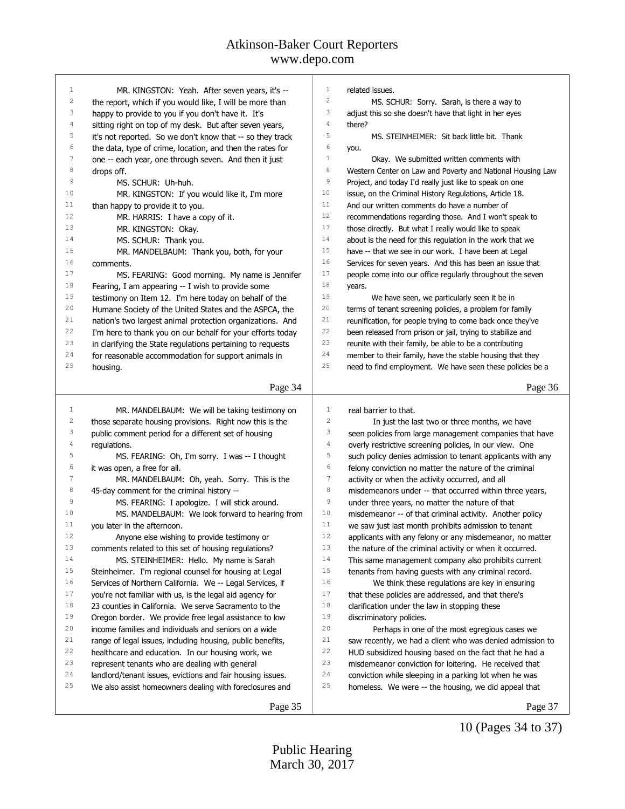| $\mathbf{1}$ | MR. KINGSTON: Yeah. After seven years, it's --                     | $\mathbf{1}$     | related issues.                                                 |
|--------------|--------------------------------------------------------------------|------------------|-----------------------------------------------------------------|
| $\sqrt{2}$   | the report, which if you would like, I will be more than           | 2                | MS. SCHUR: Sorry. Sarah, is there a way to                      |
| 3            | happy to provide to you if you don't have it. It's                 | 3                | adjust this so she doesn't have that light in her eyes          |
| 4            | sitting right on top of my desk. But after seven years,            | 4                | there?                                                          |
| 5            | it's not reported. So we don't know that -- so they track          | 5                | MS. STEINHEIMER: Sit back little bit. Thank                     |
| 6            | the data, type of crime, location, and then the rates for          | 6                | you.                                                            |
| $\sqrt{ }$   | one -- each year, one through seven. And then it just              | 7                | Okay. We submitted written comments with                        |
| 8            | drops off.                                                         | $\,$ 8 $\,$      | Western Center on Law and Poverty and National Housing Law      |
| 9            | MS. SCHUR: Uh-huh.                                                 | 9                | Project, and today I'd really just like to speak on one         |
| 10           | MR. KINGSTON: If you would like it, I'm more                       | 10               | issue, on the Criminal History Regulations, Article 18.         |
| 11           | than happy to provide it to you.                                   | 11               | And our written comments do have a number of                    |
| 12           | MR. HARRIS: I have a copy of it.                                   | 12               | recommendations regarding those. And I won't speak to           |
| 13           | MR. KINGSTON: Okay.                                                | 13               | those directly. But what I really would like to speak           |
| 14           | MS. SCHUR: Thank you.                                              | 14               | about is the need for this regulation in the work that we       |
| 15           | MR. MANDELBAUM: Thank you, both, for your                          | 15               | have -- that we see in our work. I have been at Legal           |
| 16           | comments.                                                          | 16               | Services for seven years. And this has been an issue that       |
| 17           | MS. FEARING: Good morning. My name is Jennifer                     | 17               | people come into our office regularly throughout the seven      |
| 18           | Fearing, I am appearing -- I wish to provide some                  | $1\,8$           | years.                                                          |
| 19           | testimony on Item 12. I'm here today on behalf of the              | 19               | We have seen, we particularly seen it be in                     |
| 20           | Humane Society of the United States and the ASPCA, the             | 20               | terms of tenant screening policies, a problem for family        |
| 21           | nation's two largest animal protection organizations. And          | 21               | reunification, for people trying to come back once they've      |
| 22           | I'm here to thank you on our behalf for your efforts today         | 22               | been released from prison or jail, trying to stabilize and      |
| 23           | in clarifying the State regulations pertaining to requests         | 23               | reunite with their family, be able to be a contributing         |
| 24           | for reasonable accommodation for support animals in                | 24               | member to their family, have the stable housing that they       |
| 25           | housing.                                                           | 25               | need to find employment. We have seen these policies be a       |
|              |                                                                    |                  |                                                                 |
|              | Page 34                                                            |                  | Page 36                                                         |
|              |                                                                    |                  |                                                                 |
|              |                                                                    |                  |                                                                 |
| 1            | MR. MANDELBAUM: We will be taking testimony on                     | $\mathbf 1$      | real barrier to that.                                           |
| 2            | those separate housing provisions. Right now this is the           | $\sqrt{2}$       | In just the last two or three months, we have                   |
| 3            | public comment period for a different set of housing               | 3                | seen policies from large management companies that have         |
| 4            | regulations.                                                       | $\overline{4}$   | overly restrictive screening policies, in our view. One         |
| 5            | MS. FEARING: Oh, I'm sorry. I was -- I thought                     | 5                | such policy denies admission to tenant applicants with any      |
| 6            | it was open, a free for all.                                       | 6                | felony conviction no matter the nature of the criminal          |
| 7            | MR. MANDELBAUM: Oh, yeah. Sorry. This is the                       | $\boldsymbol{7}$ | activity or when the activity occurred, and all                 |
| 8            | 45-day comment for the criminal history --                         | 8                | misdemeanors under -- that occurred within three years,         |
| 9            | MS. FEARING: I apologize. I will stick around.                     | 9                | under three years, no matter the nature of that                 |
| 10           | MS. MANDELBAUM: We look forward to hearing from                    | 10               | misdemeanor -- of that criminal activity. Another policy        |
| 11           | you later in the afternoon.                                        | 11               | we saw just last month prohibits admission to tenant            |
| $1\,2$       | Anyone else wishing to provide testimony or                        | $1\,2$           | applicants with any felony or any misdemeanor, no matter        |
| 13           | comments related to this set of housing regulations?               | 13               | the nature of the criminal activity or when it occurred.        |
| 14           | MS. STEINHEIMER: Hello. My name is Sarah                           | 14               | This same management company also prohibits current             |
| 15           | Steinheimer. I'm regional counsel for housing at Legal             | 15               | tenants from having guests with any criminal record.            |
| 16           | Services of Northern California. We -- Legal Services, if          | 16               | We think these regulations are key in ensuring                  |
| 17           | you're not familiar with us, is the legal aid agency for           | 17               | that these policies are addressed, and that there's             |
| 18           | 23 counties in California. We serve Sacramento to the              | 18               | clarification under the law in stopping these                   |
| 19           | Oregon border. We provide free legal assistance to low             | 19               | discriminatory policies.                                        |
| 20           | income families and individuals and seniors on a wide              | 20               | Perhaps in one of the most egregious cases we                   |
| 21           | range of legal issues, including housing, public benefits,         | 21               | saw recently, we had a client who was denied admission to       |
| 22           | healthcare and education. In our housing work, we                  | 22               | HUD subsidized housing based on the fact that he had a          |
| 23           |                                                                    | 23               |                                                                 |
| 24           | represent tenants who are dealing with general                     | 24               | misdemeanor conviction for loitering. He received that          |
| 25           | landlord/tenant issues, evictions and fair housing issues.         | 25               | conviction while sleeping in a parking lot when he was          |
|              | We also assist homeowners dealing with foreclosures and<br>Page 35 |                  | homeless. We were -- the housing, we did appeal that<br>Page 37 |

10 (Pages 34 to 37)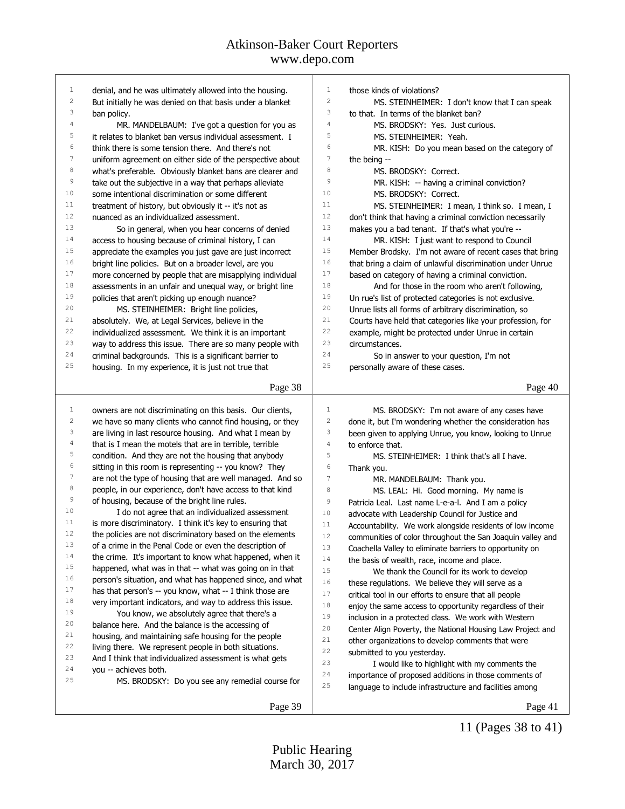| $\mathbf{1}$            | denial, and he was ultimately allowed into the housing.                          | $\mathbf{1}$     | those kinds of violations?                                 |
|-------------------------|----------------------------------------------------------------------------------|------------------|------------------------------------------------------------|
| $\sqrt{2}$              | But initially he was denied on that basis under a blanket                        | $\mathbf{2}$     | MS. STEINHEIMER: I don't know that I can speak             |
| 3                       | ban policy.                                                                      | 3                | to that. In terms of the blanket ban?                      |
| 4                       | MR. MANDELBAUM: I've got a question for you as                                   | $\overline{4}$   | MS. BRODSKY: Yes. Just curious.                            |
| 5                       | it relates to blanket ban versus individual assessment. I                        | 5                | MS. STEINHEIMER: Yeah.                                     |
| 6                       | think there is some tension there. And there's not                               | $\epsilon$       | MR. KISH: Do you mean based on the category of             |
| $\overline{7}$          | uniform agreement on either side of the perspective about                        | $\overline{7}$   | the being --                                               |
| $^{\rm 8}$              | what's preferable. Obviously blanket bans are clearer and                        | 8                | MS. BRODSKY: Correct.                                      |
| $\mathsf 9$             | take out the subjective in a way that perhaps alleviate                          | 9                | MR. KISH: -- having a criminal conviction?                 |
| 10                      | some intentional discrimination or some different                                | 10               | MS. BRODSKY: Correct.                                      |
| 11                      | treatment of history, but obviously it -- it's not as                            | 11               | MS. STEINHEIMER: I mean, I think so. I mean, I             |
| 12                      | nuanced as an individualized assessment.                                         | 12               | don't think that having a criminal conviction necessarily  |
| 13                      | So in general, when you hear concerns of denied                                  | 13               | makes you a bad tenant. If that's what you're --           |
| 14                      | access to housing because of criminal history, I can                             | 14               | MR. KISH: I just want to respond to Council                |
| 15                      | appreciate the examples you just gave are just incorrect                         | 15               | Member Brodsky. I'm not aware of recent cases that bring   |
| 16                      | bright line policies. But on a broader level, are you                            | 16               | that bring a claim of unlawful discrimination under Unrue  |
| 17                      | more concerned by people that are misapplying individual                         | 17               | based on category of having a criminal conviction.         |
| 18                      | assessments in an unfair and unequal way, or bright line                         | 18               | And for those in the room who aren't following,            |
| 19                      | policies that aren't picking up enough nuance?                                   | 19               | Un rue's list of protected categories is not exclusive.    |
| 20                      | MS. STEINHEIMER: Bright line policies,                                           | 20               | Unrue lists all forms of arbitrary discrimination, so      |
| 21                      | absolutely. We, at Legal Services, believe in the                                | 21               | Courts have held that categories like your profession, for |
| 22                      | individualized assessment. We think it is an important                           | 22               | example, might be protected under Unrue in certain         |
| 23                      | way to address this issue. There are so many people with                         | 23               | circumstances.                                             |
| 24                      | criminal backgrounds. This is a significant barrier to                           | 24               | So in answer to your question, I'm not                     |
| 25                      | housing. In my experience, it is just not true that                              | 25               | personally aware of these cases.                           |
|                         |                                                                                  |                  |                                                            |
|                         | Page 38                                                                          |                  | Page 40                                                    |
|                         |                                                                                  |                  |                                                            |
|                         |                                                                                  |                  |                                                            |
| $\mathbf{1}$            | owners are not discriminating on this basis. Our clients,                        | 1                | MS. BRODSKY: I'm not aware of any cases have               |
| $\overline{\mathbf{c}}$ | we have so many clients who cannot find housing, or they                         | 2                | done it, but I'm wondering whether the consideration has   |
| 3                       | are living in last resource housing. And what I mean by                          | 3                | been given to applying Unrue, you know, looking to Unrue   |
| 4                       | that is I mean the motels that are in terrible, terrible                         | 4                | to enforce that.                                           |
| 5                       | condition. And they are not the housing that anybody                             | 5                | MS. STEINHEIMER: I think that's all I have.                |
| $\epsilon$              | sitting in this room is representing -- you know? They                           | 6                | Thank you.                                                 |
| $\boldsymbol{7}$        | are not the type of housing that are well managed. And so                        | $\boldsymbol{7}$ | MR. MANDELBAUM: Thank you.                                 |
| $^{\rm 8}$              | people, in our experience, don't have access to that kind                        | 8                | MS. LEAL: Hi. Good morning. My name is                     |
| $\mathsf 9$             | of housing, because of the bright line rules.                                    | 9                | Patricia Leal. Last name L-e-a-l. And I am a policy        |
| 10                      | I do not agree that an individualized assessment                                 | 10               | advocate with Leadership Council for Justice and           |
| 11                      | is more discriminatory. I think it's key to ensuring that                        | 11               | Accountability. We work alongside residents of low income  |
| 12                      | the policies are not discriminatory based on the elements                        | $12\,$           | communities of color throughout the San Joaquin valley and |
| 13                      | of a crime in the Penal Code or even the description of                          | 13               | Coachella Valley to eliminate barriers to opportunity on   |
| 14<br>15                | the crime. It's important to know what happened, when it                         | 14               | the basis of wealth, race, income and place.               |
| 16                      | happened, what was in that -- what was going on in that                          | 15               | We thank the Council for its work to develop               |
| 17                      | person's situation, and what has happened since, and what                        | 16               | these regulations. We believe they will serve as a         |
|                         | has that person's -- you know, what -- I think those are                         | 17               | critical tool in our efforts to ensure that all people     |
| 18<br>19                | very important indicators, and way to address this issue.                        | $1\,8$           | enjoy the same access to opportunity regardless of their   |
| 20                      | You know, we absolutely agree that there's a                                     | 19               | inclusion in a protected class. We work with Western       |
| 21                      | balance here. And the balance is the accessing of                                | 20               | Center Align Poverty, the National Housing Law Project and |
| 22                      | housing, and maintaining safe housing for the people                             | 21               | other organizations to develop comments that were          |
| 23                      | living there. We represent people in both situations.                            | 22               | submitted to you yesterday.                                |
| 24                      | And I think that individualized assessment is what gets<br>you -- achieves both. | 23               | I would like to highlight with my comments the             |
| 25                      |                                                                                  | 24               | importance of proposed additions in those comments of      |
|                         | MS. BRODSKY: Do you see any remedial course for                                  | 25               | language to include infrastructure and facilities among    |
|                         | Page 39                                                                          |                  | Page 41                                                    |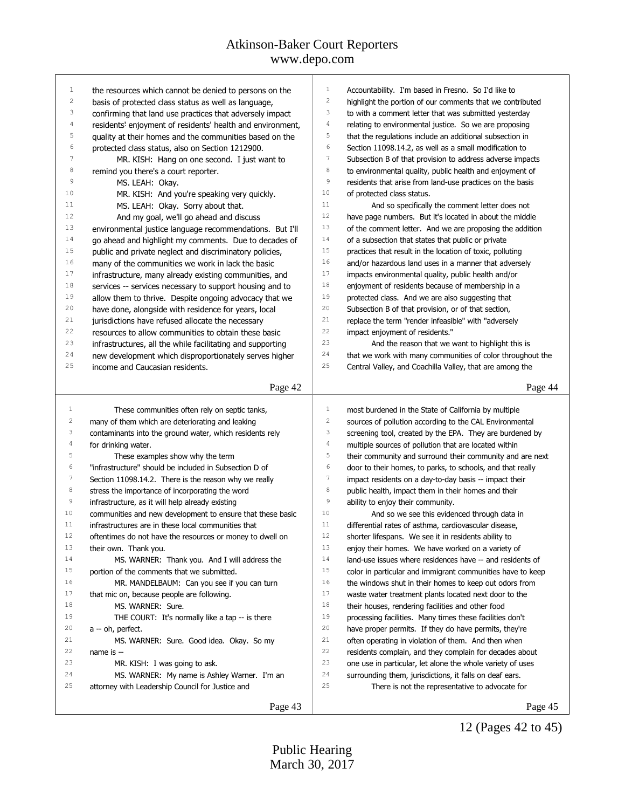| $\mathbf 1$    | the resources which cannot be denied to persons on the                 | $\,1\,$<br>Accountability. I'm based in Fresno. So I'd like to                        |
|----------------|------------------------------------------------------------------------|---------------------------------------------------------------------------------------|
| 2              | basis of protected class status as well as language,                   | $\sqrt{2}$<br>highlight the portion of our comments that we contributed               |
| 3              | confirming that land use practices that adversely impact               | $\mathsf 3$<br>to with a comment letter that was submitted yesterday                  |
| $\overline{4}$ | residents' enjoyment of residents' health and environment,             | $\sqrt{4}$<br>relating to environmental justice. So we are proposing                  |
| 5              | quality at their homes and the communities based on the                | 5<br>that the regulations include an additional subsection in                         |
| 6              | protected class status, also on Section 1212900.                       | $\epsilon$<br>Section 11098.14.2, as well as a small modification to                  |
| 7              | MR. KISH: Hang on one second. I just want to                           | $\boldsymbol{7}$<br>Subsection B of that provision to address adverse impacts         |
| 8              | remind you there's a court reporter.                                   | $\,8\,$<br>to environmental quality, public health and enjoyment of                   |
| 9              | MS. LEAH: Okay.                                                        | $\,9$<br>residents that arise from land-use practices on the basis                    |
| 10             | MR. KISH: And you're speaking very quickly.                            | 10<br>of protected class status.                                                      |
| 11             | MS. LEAH: Okay. Sorry about that.                                      | 11<br>And so specifically the comment letter does not                                 |
| 12             | And my goal, we'll go ahead and discuss                                | $1\,2$<br>have page numbers. But it's located in about the middle                     |
| 13             | environmental justice language recommendations. But I'll               | 13<br>of the comment letter. And we are proposing the addition                        |
| 14             | go ahead and highlight my comments. Due to decades of                  | $1\,4$<br>of a subsection that states that public or private                          |
| 15             | public and private neglect and discriminatory policies,                | 15<br>practices that result in the location of toxic, polluting                       |
| 16             | many of the communities we work in lack the basic                      | 16<br>and/or hazardous land uses in a manner that adversely                           |
| 17             | infrastructure, many already existing communities, and                 | 17<br>impacts environmental quality, public health and/or                             |
| 18             | services -- services necessary to support housing and to               | $1\,8$<br>enjoyment of residents because of membership in a                           |
| 19             | allow them to thrive. Despite ongoing advocacy that we                 | 19<br>protected class. And we are also suggesting that                                |
| 20             | have done, alongside with residence for years, local                   | 20<br>Subsection B of that provision, or of that section,                             |
| 21             | jurisdictions have refused allocate the necessary                      | 21<br>replace the term "render infeasible" with "adversely                            |
| 22             | resources to allow communities to obtain these basic                   | $2\sqrt{2}$<br>impact enjoyment of residents."                                        |
| 23             | infrastructures, all the while facilitating and supporting             | 23<br>And the reason that we want to highlight this is                                |
| 24             | new development which disproportionately serves higher                 | 24<br>that we work with many communities of color throughout the                      |
| 25             | income and Caucasian residents.                                        | 25<br>Central Valley, and Coachilla Valley, that are among the                        |
|                |                                                                        |                                                                                       |
|                | Page 42                                                                | Page 44                                                                               |
|                |                                                                        |                                                                                       |
| 1              | These communities often rely on septic tanks,                          | 1<br>most burdened in the State of California by multiple                             |
| $\sqrt{2}$     | many of them which are deteriorating and leaking                       | $\overline{c}$<br>sources of pollution according to the CAL Environmental             |
| 3              | contaminants into the ground water, which residents rely               | $\ensuremath{\mathsf{3}}$<br>screening tool, created by the EPA. They are burdened by |
| $\sqrt{4}$     | for drinking water.                                                    | $\sqrt{4}$<br>multiple sources of pollution that are located within                   |
| $\mathbb S$    | These examples show why the term                                       | $\mathsf S$<br>their community and surround their community and are next              |
| 6              | "infrastructure" should be included in Subsection D of                 | $\epsilon$<br>door to their homes, to parks, to schools, and that really              |
| 7              | Section 11098.14.2. There is the reason why we really                  | $\tau$<br>impact residents on a day-to-day basis -- impact their                      |
| 8              | stress the importance of incorporating the word                        | $\,8\,$<br>public health, impact them in their homes and their                        |
| $\mathsf 9$    | infrastructure, as it will help already existing                       | 9<br>ability to enjoy their community.                                                |
| 10             | communities and new development to ensure that these basic             | 10<br>And so we see this evidenced through data in                                    |
| 11             | infrastructures are in these local communities that                    | 11<br>differential rates of asthma, cardiovascular disease,                           |
| 12             | oftentimes do not have the resources or money to dwell on              | 12<br>shorter lifespans. We see it in residents ability to                            |
| 13             |                                                                        | 13<br>enjoy their homes. We have worked on a variety of                               |
| 14             | their own. Thank you.<br>MS. WARNER: Thank you. And I will address the | 14<br>land-use issues where residences have -- and residents of                       |
| 15             | portion of the comments that we submitted.                             | 15                                                                                    |
| 16             |                                                                        | color in particular and immigrant communities have to keep<br>16                      |
| 17             | MR. MANDELBAUM: Can you see if you can turn                            | the windows shut in their homes to keep out odors from<br>17                          |
| 18             | that mic on, because people are following.                             | waste water treatment plants located next door to the<br>18                           |
| 19             | MS. WARNER: Sure.                                                      | their houses, rendering facilities and other food<br>19                               |
| 20             | THE COURT: It's normally like a tap -- is there                        | processing facilities. Many times these facilities don't<br>20                        |
| 21             | a -- oh, perfect.                                                      | have proper permits. If they do have permits, they're<br>21                           |
|                | MS. WARNER: Sure. Good idea. Okay. So my                               | often operating in violation of them. And then when                                   |
| 22<br>23       | name is --                                                             | 22<br>residents complain, and they complain for decades about<br>23                   |
| 24             | MR. KISH: I was going to ask.                                          | one use in particular, let alone the whole variety of uses<br>24                      |
| 25             | MS. WARNER: My name is Ashley Warner. I'm an                           | surrounding them, jurisdictions, it falls on deaf ears.<br>25                         |
|                | attorney with Leadership Council for Justice and                       | There is not the representative to advocate for                                       |

12 (Pages 42 to 45)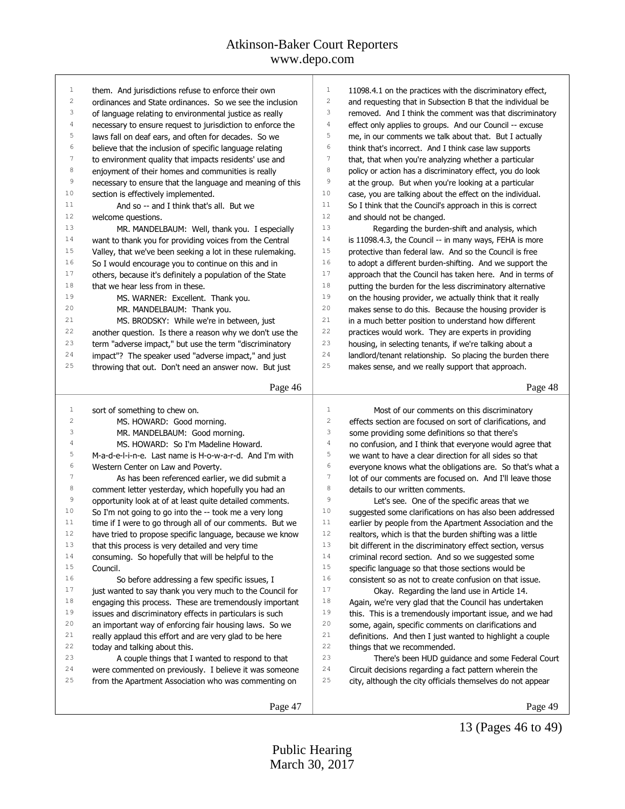| $\mathbf{1}$     | them. And jurisdictions refuse to enforce their own        | 1<br>11098.4.1 on the practices with the discriminatory effect,              |
|------------------|------------------------------------------------------------|------------------------------------------------------------------------------|
| $\overline{c}$   | ordinances and State ordinances. So we see the inclusion   | 2<br>and requesting that in Subsection B that the individual be              |
| 3                | of language relating to environmental justice as really    | 3<br>removed. And I think the comment was that discriminatory                |
| $\sqrt{4}$       | necessary to ensure request to jurisdiction to enforce the | $\sqrt{4}$<br>effect only applies to groups. And our Council -- excuse       |
| 5                | laws fall on deaf ears, and often for decades. So we       | 5<br>me, in our comments we talk about that. But I actually                  |
| 6                | believe that the inclusion of specific language relating   | 6<br>think that's incorrect. And I think case law supports                   |
| $\boldsymbol{7}$ | to environment quality that impacts residents' use and     | $\boldsymbol{7}$<br>that, that when you're analyzing whether a particular    |
| $^{\rm 8}$       | enjoyment of their homes and communities is really         | 8<br>policy or action has a discriminatory effect, you do look               |
| $\mathsf 9$      | necessary to ensure that the language and meaning of this  | 9<br>at the group. But when you're looking at a particular                   |
| 10               | section is effectively implemented.                        | 10<br>case, you are talking about the effect on the individual.              |
| 11               | And so -- and I think that's all. But we                   | 11<br>So I think that the Council's approach in this is correct              |
| 12               | welcome questions.                                         | 12<br>and should not be changed.                                             |
| 13               | MR. MANDELBAUM: Well, thank you. I especially              | 13<br>Regarding the burden-shift and analysis, which                         |
| 14               | want to thank you for providing voices from the Central    | 14<br>is 11098.4.3, the Council -- in many ways, FEHA is more                |
| 15               | Valley, that we've been seeking a lot in these rulemaking. | 15<br>protective than federal law. And so the Council is free                |
| 16               | So I would encourage you to continue on this and in        | 16<br>to adopt a different burden-shifting. And we support the               |
| 17               | others, because it's definitely a population of the State  | 17<br>approach that the Council has taken here. And in terms of              |
| 18               | that we hear less from in these.                           | 18<br>putting the burden for the less discriminatory alternative             |
| 19               | MS. WARNER: Excellent. Thank you.                          | 19<br>on the housing provider, we actually think that it really              |
| 20               | MR. MANDELBAUM: Thank you.                                 | 20<br>makes sense to do this. Because the housing provider is                |
| 21               | MS. BRODSKY: While we're in between, just                  | 21<br>in a much better position to understand how different                  |
| 22               | another question. Is there a reason why we don't use the   | 22<br>practices would work. They are experts in providing                    |
| 23               | term "adverse impact," but use the term "discriminatory    | 23<br>housing, in selecting tenants, if we're talking about a                |
| 24               | impact"? The speaker used "adverse impact," and just       | 24<br>landlord/tenant relationship. So placing the burden there              |
| 25               | throwing that out. Don't need an answer now. But just      | $2\,5$<br>makes sense, and we really support that approach.                  |
|                  |                                                            |                                                                              |
|                  | Page 46                                                    | Page 48                                                                      |
|                  |                                                            |                                                                              |
|                  |                                                            |                                                                              |
| $\mathbf{1}$     | sort of something to chew on.                              | $1\,$<br>Most of our comments on this discriminatory                         |
| $\sqrt{2}$       | MS. HOWARD: Good morning.                                  | $\sqrt{2}$<br>effects section are focused on sort of clarifications, and     |
| 3                | MR. MANDELBAUM: Good morning.                              | 3<br>some providing some definitions so that there's                         |
| 4                | MS. HOWARD: So I'm Madeline Howard.                        | $\sqrt{4}$<br>no confusion, and I think that everyone would agree that       |
| 5                | M-a-d-e-l-i-n-e. Last name is H-o-w-a-r-d. And I'm with    | 5<br>we want to have a clear direction for all sides so that                 |
| 6                | Western Center on Law and Poverty.                         | 6<br>everyone knows what the obligations are. So that's what a               |
| $\sqrt{ }$       | As has been referenced earlier, we did submit a            | $\boldsymbol{7}$<br>lot of our comments are focused on. And I'll leave those |
| 8                | comment letter yesterday, which hopefully you had an       | 8<br>details to our written comments.                                        |
| 9                | opportunity look at of at least quite detailed comments.   | 9<br>Let's see. One of the specific areas that we                            |
| 10               | So I'm not going to go into the -- took me a very long     | 10<br>suggested some clarifications on has also been addressed               |
| 11               | time if I were to go through all of our comments. But we   | 11<br>earlier by people from the Apartment Association and the               |
| 12               | have tried to propose specific language, because we know   | 12<br>realtors, which is that the burden shifting was a little               |
| 13               | that this process is very detailed and very time           | 13<br>bit different in the discriminatory effect section, versus             |
| 14               | consuming. So hopefully that will be helpful to the        | 14<br>criminal record section. And so we suggested some                      |
| 15               | Council.                                                   | 15<br>specific language so that those sections would be                      |
| 16               | So before addressing a few specific issues, I              | 16<br>consistent so as not to create confusion on that issue.                |
| 17               | just wanted to say thank you very much to the Council for  | 17<br>Okay. Regarding the land use in Article 14.                            |
| 18               | engaging this process. These are tremendously important    | 18<br>Again, we're very glad that the Council has undertaken                 |
| 19               | issues and discriminatory effects in particulars is such   | 19<br>this. This is a tremendously important issue, and we had               |
| 20               | an important way of enforcing fair housing laws. So we     | 20<br>some, again, specific comments on clarifications and                   |
| 21               | really applaud this effort and are very glad to be here    | $2\sqrt{1}$<br>definitions. And then I just wanted to highlight a couple     |
| 22               | today and talking about this.                              | 22<br>things that we recommended.                                            |
| 23               | A couple things that I wanted to respond to that           | 23<br>There's been HUD guidance and some Federal Court                       |
| 24               | were commented on previously. I believe it was someone     | 24<br>Circuit decisions regarding a fact pattern wherein the                 |
| 25               | from the Apartment Association who was commenting on       | 25<br>city, although the city officials themselves do not appear             |
|                  | Page 47                                                    | Page 49                                                                      |

Page 49

13 (Pages 46 to 49)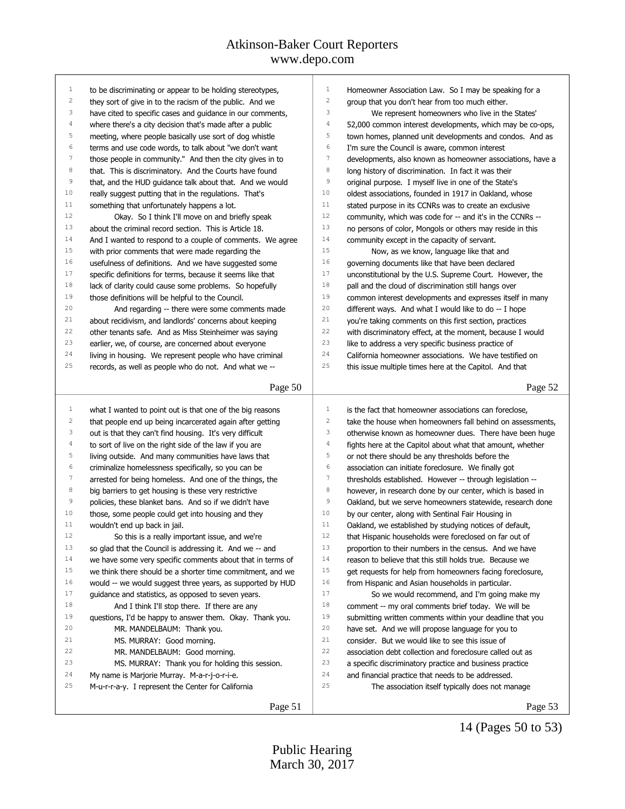| 1                       | to be discriminating or appear to be holding stereotypes,  | 1                       | Homeowner Association Law. So I may be speaking for a      |
|-------------------------|------------------------------------------------------------|-------------------------|------------------------------------------------------------|
| $\sqrt{2}$              | they sort of give in to the racism of the public. And we   | $\overline{c}$          | group that you don't hear from too much either.            |
| 3                       | have cited to specific cases and guidance in our comments, | 3                       | We represent homeowners who live in the States'            |
| 4                       | where there's a city decision that's made after a public   | $\sqrt{4}$              | 52,000 common interest developments, which may be co-ops,  |
| 5                       | meeting, where people basically use sort of dog whistle    | 5                       | town homes, planned unit developments and condos. And as   |
| 6                       | terms and use code words, to talk about "we don't want     | 6                       | I'm sure the Council is aware, common interest             |
| 7                       | those people in community." And then the city gives in to  | 7                       | developments, also known as homeowner associations, have a |
| 8                       | that. This is discriminatory. And the Courts have found    | 8                       | long history of discrimination. In fact it was their       |
| 9                       | that, and the HUD guidance talk about that. And we would   | 9                       | original purpose. I myself live in one of the State's      |
| 10                      | really suggest putting that in the regulations. That's     | 10                      | oldest associations, founded in 1917 in Oakland, whose     |
| 11                      | something that unfortunately happens a lot.                | 11                      | stated purpose in its CCNRs was to create an exclusive     |
| 12                      | Okay. So I think I'll move on and briefly speak            | 12                      | community, which was code for -- and it's in the CCNRs --  |
| 13                      | about the criminal record section. This is Article 18.     | 13                      | no persons of color, Mongols or others may reside in this  |
| 14                      | And I wanted to respond to a couple of comments. We agree  | 14                      | community except in the capacity of servant.               |
| 15                      | with prior comments that were made regarding the           | 15                      | Now, as we know, language like that and                    |
| 16                      | usefulness of definitions. And we have suggested some      | 16                      | governing documents like that have been declared           |
| 17                      | specific definitions for terms, because it seems like that | 17                      | unconstitutional by the U.S. Supreme Court. However, the   |
| 18                      | lack of clarity could cause some problems. So hopefully    | 18                      | pall and the cloud of discrimination still hangs over      |
| 19                      | those definitions will be helpful to the Council.          | 19                      | common interest developments and expresses itself in many  |
| 20                      | And regarding -- there were some comments made             | 20                      | different ways. And what I would like to do -- I hope      |
| 21                      | about recidivism, and landlords' concerns about keeping    | 21                      | you're taking comments on this first section, practices    |
| 22                      | other tenants safe. And as Miss Steinheimer was saying     | 22                      | with discriminatory effect, at the moment, because I would |
| 23                      | earlier, we, of course, are concerned about everyone       | 23                      | like to address a very specific business practice of       |
| 24                      | living in housing. We represent people who have criminal   | 24                      | California homeowner associations. We have testified on    |
| 25                      | records, as well as people who do not. And what we --      | 25                      | this issue multiple times here at the Capitol. And that    |
|                         |                                                            |                         |                                                            |
|                         | Page 50                                                    |                         | Page 52                                                    |
|                         |                                                            |                         |                                                            |
| $\mathbf{1}$            | what I wanted to point out is that one of the big reasons  | $\mathbf{1}$            | is the fact that homeowner associations can foreclose,     |
| $\overline{\mathbf{c}}$ | that people end up being incarcerated again after getting  | $\overline{\mathbf{c}}$ | take the house when homeowners fall behind on assessments, |
| 3                       | out is that they can't find housing. It's very difficult   | 3                       | otherwise known as homeowner dues. There have been huge    |
| 4                       | to sort of live on the right side of the law if you are    | $\sqrt{4}$              | fights here at the Capitol about what that amount, whether |
| 5                       | living outside. And many communities have laws that        | 5                       | or not there should be any thresholds before the           |
| 6                       | criminalize homelessness specifically, so you can be       | 6                       | association can initiate foreclosure. We finally got       |
| $\tau$                  | arrested for being homeless. And one of the things, the    | 7                       | thresholds established. However -- through legislation --  |
| 8                       | big barriers to get housing is these very restrictive      | 8                       | however, in research done by our center, which is based in |
| 9                       | policies, these blanket bans. And so if we didn't have     | $\mathsf 9$             | Oakland, but we serve homeowners statewide, research done  |
| 10                      | those, some people could get into housing and they         | 10                      | by our center, along with Sentinal Fair Housing in         |
| 11                      |                                                            |                         |                                                            |
| 12                      | wouldn't end up back in jail.                              | 11                      | Oakland, we established by studying notices of default,    |
| 13                      | So this is a really important issue, and we're             | 12                      | that Hispanic households were foreclosed on far out of     |
|                         | so glad that the Council is addressing it. And we -- and   | 13                      | proportion to their numbers in the census. And we have     |
| 14                      | we have some very specific comments about that in terms of | 14                      | reason to believe that this still holds true. Because we   |
| 15                      | we think there should be a shorter time commitment, and we | 15                      | get requests for help from homeowners facing foreclosure,  |
| 16                      | would -- we would suggest three years, as supported by HUD | 16                      | from Hispanic and Asian households in particular.          |
| 17                      | guidance and statistics, as opposed to seven years.        | 17                      | So we would recommend, and I'm going make my               |
| 18                      | And I think I'll stop there. If there are any              | $1\,8$                  | comment -- my oral comments brief today. We will be        |
| 19                      | questions, I'd be happy to answer them. Okay. Thank you.   | 19                      | submitting written comments within your deadline that you  |
| 20                      | MR. MANDELBAUM: Thank you.                                 | 20                      | have set. And we will propose language for you to          |
| 21                      | MS. MURRAY: Good morning.                                  | 21                      | consider. But we would like to see this issue of           |
| 22                      | MR. MANDELBAUM: Good morning.                              | 22                      | association debt collection and foreclosure called out as  |
| 23                      | MS. MURRAY: Thank you for holding this session.            | 23                      | a specific discriminatory practice and business practice   |
| 24                      | My name is Marjorie Murray. M-a-r-j-o-r-i-e.               | 24                      | and financial practice that needs to be addressed.         |
| 25                      | M-u-r-r-a-y. I represent the Center for California         | 25                      | The association itself typically does not manage           |
|                         | Page 51                                                    |                         | Page 53                                                    |

Page 53

14 (Pages 50 to 53)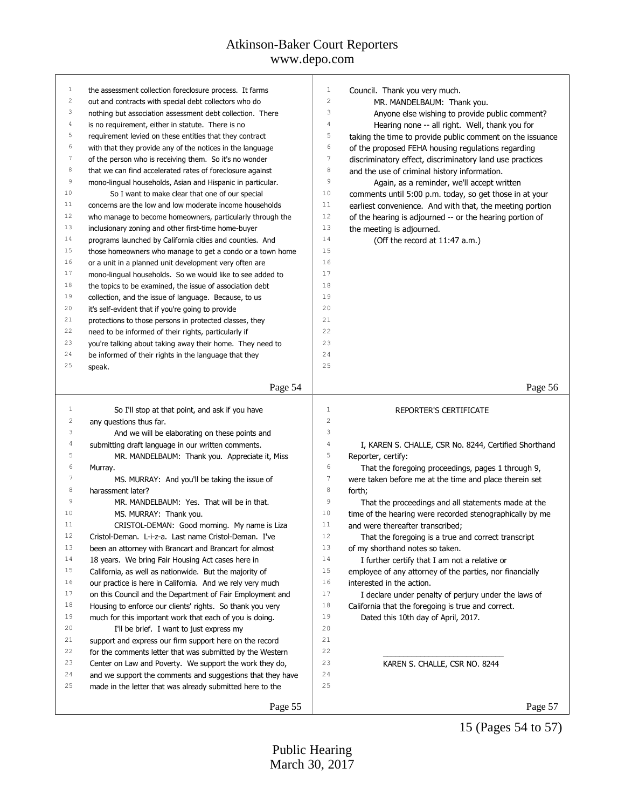## Atkinson-Baker Court Reporters

### www.depo.com

| 1              | the assessment collection foreclosure process. It farms    | $\mathbf{1}$     | Council. Thank you very much.                             |
|----------------|------------------------------------------------------------|------------------|-----------------------------------------------------------|
| $\overline{c}$ | out and contracts with special debt collectors who do      | $\sqrt{2}$       | MR. MANDELBAUM: Thank you.                                |
| 3              | nothing but association assessment debt collection. There  | 3                | Anyone else wishing to provide public comment?            |
| 4              | is no requirement, either in statute. There is no          | $\sqrt{4}$       | Hearing none -- all right. Well, thank you for            |
| 5              | requirement levied on these entities that they contract    | 5                | taking the time to provide public comment on the issuance |
| 6              | with that they provide any of the notices in the language  | 6                | of the proposed FEHA housing regulations regarding        |
| $\tau$         | of the person who is receiving them. So it's no wonder     | $\overline{7}$   | discriminatory effect, discriminatory land use practices  |
| 8              | that we can find accelerated rates of foreclosure against  | 8                | and the use of criminal history information.              |
| $\,9$          | mono-lingual households, Asian and Hispanic in particular. | $\,9$            | Again, as a reminder, we'll accept written                |
| 10             | So I want to make clear that one of our special            | 10               | comments until 5:00 p.m. today, so get those in at your   |
| 11             | concerns are the low and low moderate income households    | 11               | earliest convenience. And with that, the meeting portion  |
| 12             | who manage to become homeowners, particularly through the  | 12               | of the hearing is adjourned -- or the hearing portion of  |
| 13             | inclusionary zoning and other first-time home-buyer        | 13               | the meeting is adjourned.                                 |
| 14             | programs launched by California cities and counties. And   | 14               | (Off the record at 11:47 a.m.)                            |
| 15             | those homeowners who manage to get a condo or a town home  | 15               |                                                           |
| 16             | or a unit in a planned unit development very often are     | 16               |                                                           |
| 17             | mono-lingual households. So we would like to see added to  | 17               |                                                           |
| 18             | the topics to be examined, the issue of association debt   | 18               |                                                           |
| 19             | collection, and the issue of language. Because, to us      | 19               |                                                           |
| 20             | it's self-evident that if you're going to provide          | 20               |                                                           |
| 21             | protections to those persons in protected classes, they    | 21               |                                                           |
| 22             | need to be informed of their rights, particularly if       | 22               |                                                           |
| 23             | you're talking about taking away their home. They need to  | 23               |                                                           |
| 24             | be informed of their rights in the language that they      | 24               |                                                           |
| 25             | speak.                                                     | 25               |                                                           |
|                |                                                            |                  |                                                           |
|                | Page 54                                                    |                  | Page 56                                                   |
| 1              | So I'll stop at that point, and ask if you have            | $1\,$            | REPORTER'S CERTIFICATE                                    |
| 2              | any questions thus far.                                    | $\overline{c}$   |                                                           |
| 3              | And we will be elaborating on these points and             | 3                |                                                           |
| 4              | submitting draft language in our written comments.         | $\sqrt{4}$       | I, KAREN S. CHALLE, CSR No. 8244, Certified Shorthand     |
| 5              | MR. MANDELBAUM: Thank you. Appreciate it, Miss             | 5                | Reporter, certify:                                        |
| 6              | Murray.                                                    | 6                | That the foregoing proceedings, pages 1 through 9,        |
| 7              | MS. MURRAY: And you'll be taking the issue of              | $\boldsymbol{7}$ | were taken before me at the time and place therein set    |
| $\,$ 8 $\,$    | harassment later?                                          | $\,8\,$          | forth;                                                    |
| 9              | MR. MANDELBAUM: Yes. That will be in that.                 | 9                | That the proceedings and all statements made at the       |
| 10             | MS. MURRAY: Thank you.                                     | 10               | time of the hearing were recorded stenographically by me  |
| 11             | CRISTOL-DEMAN: Good morning. My name is Liza               | 11               | and were thereafter transcribed;                          |
| $1\,2$         | Cristol-Deman. L-i-z-a. Last name Cristol-Deman. I've      | 12               | That the foregoing is a true and correct transcript       |
| 13             | been an attorney with Brancart and Brancart for almost     | 13               | of my shorthand notes so taken.                           |
| 14             | 18 years. We bring Fair Housing Act cases here in          | 14               | I further certify that I am not a relative or             |
| 15             | California, as well as nationwide. But the majority of     | 15               | employee of any attorney of the parties, nor financially  |
| 16             | our practice is here in California. And we rely very much  | 16               | interested in the action.                                 |
| 17             | on this Council and the Department of Fair Employment and  | 17               | I declare under penalty of perjury under the laws of      |
| $1\,8$         | Housing to enforce our clients' rights. So thank you very  | 18               | California that the foregoing is true and correct.        |
| 19             |                                                            | 19               |                                                           |
| 20             | much for this important work that each of you is doing.    | 20               | Dated this 10th day of April, 2017.                       |
|                | I'll be brief. I want to just express my                   | 21               |                                                           |
|                |                                                            |                  |                                                           |
| 21             | support and express our firm support here on the record    |                  |                                                           |
| 22             | for the comments letter that was submitted by the Western  | 22               |                                                           |
| 23             | Center on Law and Poverty. We support the work they do,    | 23               | KAREN S. CHALLE, CSR NO. 8244                             |
| 24             | and we support the comments and suggestions that they have | 24               |                                                           |
| 25             | made in the letter that was already submitted here to the  | 25               |                                                           |

15 (Pages 54 to 57)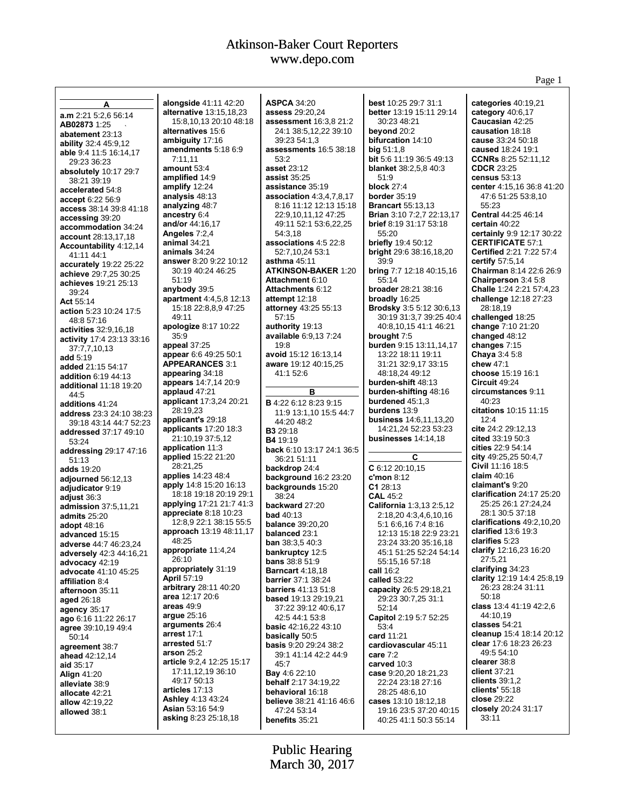Page 1

| A                                                           | alongside 41:11 42:20                 | <b>ASPCA 34:20</b>                       | best 10:25 29:7 31:1                                | categories 40:19,21                        |
|-------------------------------------------------------------|---------------------------------------|------------------------------------------|-----------------------------------------------------|--------------------------------------------|
| a.m 2:21 5:2.6 56:14                                        | <b>alternative</b> 13:15,18,23        | assess 29:20,24                          | better 13:19 15:11 29:14                            | category $40:6,17$                         |
| AB02873 1:25                                                | 15:8,10,13 20:10 48:18                | assessment 16:3,8 21:2                   | 30:23 48:21<br>beyond 20:2                          | Caucasian 42:25<br>causation 18:18         |
| abatement 23:13                                             | alternatives 15:6<br>ambiguity 17:16  | 24:1 38:5,12,22 39:10<br>39:23 54:1,3    | bifurcation 14:10                                   | cause 33:24 50:18                          |
| <b>ability</b> 32:4 45:9,12                                 | amendments 5:18 6:9                   | assessments 16:5 38:18                   | big 51:1,8                                          | caused 18:24 19:1                          |
| able 9:4 11:5 16:14,17                                      | 7:11,11                               | 53:2                                     | <b>bit</b> 5:6 11:19 36:5 49:13                     | <b>CCNRs</b> 8:25 52:11,12                 |
| 29:23 36:23<br>absolutely 10:17 29:7                        | amount 53:4                           | asset 23:12                              | blanket 38:2,5,8 40:3                               | <b>CDCR 23:25</b>                          |
| 38:21 39:19                                                 | amplified 14:9                        | <b>assist 35:25</b>                      | 51:9                                                | census $53:13$                             |
| accelerated 54:8                                            | amplify 12:24                         | assistance 35:19                         | block $27:4$                                        | center 4:15,16 36:8 41:20                  |
| accept 6:22 56:9                                            | analysis 48:13                        | association 4:3,4,7,8,17                 | border $35:19$                                      | 47:6 51:25 53:8,10                         |
| access 38:14 39:8 41:18                                     | analyzing 48:7                        | 8:16 11:12 12:13 15:18                   | <b>Brancart</b> 55:13,13                            | 55:23                                      |
| accessing 39:20                                             | ancestry 6:4                          | 22:9,10,11,12 47:25                      | <b>Brian 3:10 7:2.7 22:13.17</b>                    | Central 44:25 46:14                        |
| accommodation 34:24                                         | and/or 44:16,17                       | 49:11 52:1 53:6,22,25                    | <b>brief</b> 8:19 31:17 53:18                       | certain 40:22<br>certainly 9:9 12:17 30:22 |
| <b>account</b> 28:13,17,18                                  | Angeles 7:2,4<br>animal 34:21         | 54:3,18<br>associations 4:5 22:8         | 55:20<br><b>briefly</b> 19:4 50:12                  | <b>CERTIFICATE 57:1</b>                    |
| Accountability 4:12,14                                      | animals 34:24                         | 52:7,10,24 53:1                          | bright 29:6 38:16,18,20                             | Certified 2:21 7:22 57:4                   |
| 41:11 44:1                                                  | answer 8:20 9:22 10:12                | asthma $45:11$                           | 39.9                                                | certify 57:5,14                            |
| accurately 19:22 25:22                                      | 30:19 40:24 46:25                     | <b>ATKINSON-BAKER 1:20</b>               | bring 7:7 12:18 40:15,16                            | Chairman 8:14 22:6 26:9                    |
| achieve 29:7,25 30:25<br>achieves 19:21 25:13               | 51:19                                 | Attachment 6:10                          | 55:14                                               | Chairperson 3:4 5:8                        |
| 39:24                                                       | anybody 39:5                          | Attachments 6:12                         | broader 28:21 38:16                                 | Challe 1:24 2:21 57:4,23                   |
| Act 55:14                                                   | <b>apartment</b> 4:4,5,8 12:13        | attempt 12:18                            | broadly 16:25                                       | challenge 12:18 27:23                      |
| action 5:23 10:24 17:5                                      | 15:18 22:8,8,9 47:25                  | attorney 43:25 55:13                     | <b>Brodsky</b> 3:5 5:12 30:6,13                     | 28:18.19                                   |
| 48:8 57:16                                                  | 49:11                                 | 57:15                                    | 30:19 31:3,7 39:25 40:4                             | challenged 18:25                           |
| <b>activities</b> 32:9,16,18                                | apologize 8:17 10:22                  | authority 19:13                          | 40:8,10,15 41:1 46:21                               | change 7:10 21:20                          |
| activity 17:4 23:13 33:16                                   | 35:9                                  | available 6:9,13 7:24<br>19:8            | brought 7:5                                         | changed 48:12                              |
| 37:7,7,10,13                                                | appeal 37:25<br>appear 6:6 49:25 50:1 | avoid 15:12 16:13,14                     | <b>burden</b> 9:15 13:11,14,17<br>13:22 18:11 19:11 | changes 7:15<br>Chaya $3:45:8$             |
| add 5:19                                                    | <b>APPEARANCES 3:1</b>                | aware 19:12 40:15,25                     | 31:21 32:9,17 33:15                                 | chew $47:1$                                |
| added 21:15 54:17                                           | appearing 34:18                       | 41:1 52:6                                | 48:18,24 49:12                                      | choose 15:19 16:1                          |
| <b>addition 6:19 44:13</b><br><b>additional</b> 11:18 19:20 | <b>appears</b> 14:7,14 20:9           |                                          | burden-shift 48:13                                  | Circuit 49:24                              |
| 44:5                                                        | applaud 47:21                         | в                                        | burden-shifting 48:16                               | circumstances 9:11                         |
| additions 41:24                                             | applicant 17:3,24 20:21               | <b>B</b> 4:22 6:12 8:23 9:15             | burdened $45:1,3$                                   | 40:23                                      |
| address 23:3 24:10 38:23                                    | 28:19,23                              | 11:9 13:1,10 15:5 44:7                   | burdens 13:9                                        | citations 10:15 11:15                      |
| 39:18 43:14 44:7 52:23                                      | applicant's 29:18                     | 44:20 48:2                               | business 14:6,11,13,20                              | 12:4                                       |
| <b>addressed</b> 37:17 49:10                                | <b>applicants</b> 17:20 18:3          | <b>B3</b> 29:18                          | 14:21,24 52:23 53:23                                | cite 24:2 29:12,13                         |
| 53:24                                                       | 21:10,19 37:5,12<br>application 11:3  | <b>B4</b> 19:19                          | businesses $14:14,18$                               | cited 33:19 50:3<br>cities 22:9 54:14      |
| addressing 29:17 47:16                                      | applied 15:22 21:20                   | back 6:10 13:17 24:1 36:5                | С                                                   | city 49:25,25 50:4,7                       |
| 51:13                                                       | 28:21,25                              | 36:21 51:11<br>backdrop 24:4             | $C$ 6:12 20:10,15                                   | Civil 11:16 18:5                           |
| <b>adds</b> 19:20                                           | applies 14:23 48:4                    | <b>background 16:2 23:20</b>             | $c$ 'mon 8:12                                       | claim $40:16$                              |
| adjourned 56:12,13<br>adjudicator 9:19                      | apply 14:8 15:20 16:13                | backgrounds 15:20                        | C128:13                                             | claimant's 9:20                            |
| adjust 36:3                                                 | 18:18 19:18 20:19 29:1                | 38:24                                    | <b>CAL 45:2</b>                                     | clarification 24:17 25:20                  |
| <b>admission</b> 37:5,11,21                                 | applying 17:21 21:7 41:3              | backward 27:20                           | California 1:3,13 2:5,12                            | 25:25 26:1 27:24,24                        |
| admits 25:20                                                | appreciate 8:18 10:23                 | <b>bad</b> 40:13                         | 2:18,20 4:3,4,6,10,16                               | 28:1 30:5 37:18                            |
| <b>adopt</b> 48:16                                          | 12:8.9 22:1 38:15 55:5                | <b>balance</b> 39:20,20                  | 5:1 6:6,16 7:4 8:16                                 | clarifications 49:2,10,20                  |
| advanced 15:15                                              | approach 13:19 48:11,17               | balanced 23:1                            | 12:13 15:18 22:9 23:21                              | clarified 13:6 19:3                        |
| adverse 44:7 46:23,24                                       | 48:25<br>appropriate 11:4,24          | <b>ban</b> $38:3,540:3$                  | 23:24 33:20 35:16,18                                | clarifies 5:23<br>clarify 12:16,23 16:20   |
| adversely 42:3 44:16,21                                     | 26:10                                 | bankruptcy 12:5<br><b>bans</b> 38:8 51:9 | 45:1 51:25 52:24 54:14                              | 27:5,21                                    |
| advocacy 42:19                                              | appropriately 31:19                   | <b>Barncart</b> 4:18,18                  | 55:15,16 57:18<br>call 16:2                         | clarifying 34:23                           |
| advocate 41:10 45:25<br>affiliation 8:4                     | <b>April 57:19</b>                    | <b>barrier</b> 37:1 38:24                | called 53:22                                        | clarity 12:19 14:4 25:8,19                 |
| afternoon 35:11                                             | arbitrary 28:11 40:20                 | <b>barriers</b> 41:13 51:8               | capacity 26:5 29:18,21                              | 26:23 28:24 31:11                          |
| aged 26:18                                                  | area 12:17 20:6                       | <b>based</b> 19:13 29:19,21              | 29:23 30:7,25 31:1                                  | 50:18                                      |
| agency $35:17$                                              | areas $49:9$                          | 37:22 39:12 40:6,17                      | 52:14                                               | class 13:4 41:19 42:2.6                    |
| ago 6:16 11:22 26:17                                        | <b>argue</b> 25:16                    | 42:5 44:1 53:8                           | Capitol 2:19 5:7 52:25                              | 44:10,19                                   |
| agree 39:10,19 49:4                                         | arguments 26:4                        | <b>basic</b> 42:16,22 43:10              | 53:4                                                | classes 54:21                              |
| 50:14                                                       | <b>arrest</b> 17:1                    | basically 50:5                           | card 11:21                                          | cleanup 15:4 18:14 20:12                   |
| agreement 38:7                                              | arrested 51:7<br><b>arson</b> 25:2    | <b>basis</b> 9:20 29:24 38:2             | cardiovascular 45:11                                | clear 17:6 18:23 26:23<br>49:5 54:10       |
| ahead 42:12,14                                              | article 9:2,4 12:25 15:17             | 39:1 41:14 42:2 44:9                     | care $7:2$                                          | clearer 38:8                               |
| aid 35:17                                                   | 17:11,12,19 36:10                     | 45:7<br>Bay 4:6 22:10                    | carved 10:3<br>case 9:20,20 18:21,23                | client 37:21                               |
| <b>Align 41:20</b>                                          | 49:17 50:13                           | <b>behalf</b> 2:17 34:19,22              | 22:24 23:18 27:16                                   | clients $39:1,2$                           |
| alleviate 38:9<br>allocate 42:21                            | articles 17:13                        | behavioral 16:18                         | 28:25 48:6,10                                       | clients' $55:18$                           |
| <b>allow</b> 42:19,22                                       | <b>Ashley 4:13 43:24</b>              | <b>believe</b> 38:21 41:16 46:6          | cases 13:10 18:12,18                                | close 29:22                                |
| allowed 38:1                                                | <b>Asian</b> 53:16 54:9               | 47:24 53:14                              | 19:16 23:5 37:20 40:15                              | closely 20:24 31:17                        |
|                                                             | asking 8:23 25:18,18                  | benefits 35:21                           | 40:25 41:1 50:3 55:14                               | 33:11                                      |
|                                                             |                                       |                                          |                                                     |                                            |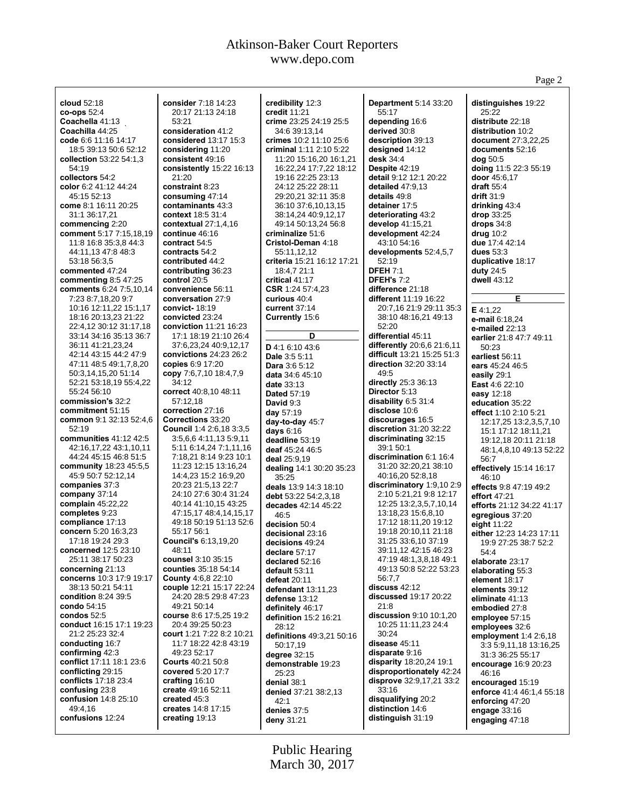| cloud 52:18                                    | consider 7:18 14:23                               | credibility 12:3                            | <b>Department 5:14 33:20</b>                         | distinguishes 19:22                           |
|------------------------------------------------|---------------------------------------------------|---------------------------------------------|------------------------------------------------------|-----------------------------------------------|
| $co$ -ops $52:4$                               | 20:17 21:13 24:18                                 | credit 11:21                                | 55:17                                                | 25:22                                         |
| Coachella 41:13                                | 53:21                                             | crime 23:25 24:19 25:5                      | depending 16:6                                       | distribute 22:18                              |
| Coachilla 44:25<br>code 6:6 11:16 14:17        | consideration 41:2<br>considered 13:17 15:3       | 34:6 39:13,14<br>crimes 10:2 11:10 25:6     | derived 30:8<br>description 39:13                    | distribution 10:2<br>document 27:3,22,25      |
| 18:5 39:13 50:6 52:12                          | considering 11:20                                 | criminal 1:11 2:10 5:22                     | designed 14:12                                       | documents 52:16                               |
| collection 53:22 54:1,3                        | consistent 49:16                                  | 11:20 15:16,20 16:1,21                      | desk 34:4                                            | dog 50:5                                      |
| 54:19                                          | consistently 15:22 16:13                          | 16:22,24 17:7,22 18:12                      | Despite 42:19                                        | doing 11:5 22:3 55:19                         |
| collectors 54:2                                | 21:20                                             | 19:16 22:25 23:13                           | <b>detail</b> 9:12 12:1 20:22                        | <b>door</b> 45:6,17                           |
| color 6:2 41:12 44:24                          | constraint 8:23                                   | 24:12 25:22 28:11                           | detailed $47:9,13$                                   | <b>draft</b> 55:4                             |
| 45:15 52:13                                    | consuming $47:14$                                 | 29:20,21 32:11 35:8                         | details 49:8                                         | <b>drift</b> 31:9                             |
| come 8:1 16:11 20:25                           | contaminants 43:3                                 | 36:10 37:6,10,13,15                         | detainer 17:5                                        | drinking 43:4                                 |
| 31:1 36:17,21                                  | context 18:5 31:4                                 | 38:14,24 40:9,12,17                         | deteriorating 43:2                                   | $drop$ 33:25                                  |
| commencing 2:20<br>comment 5:17 7:15,18,19     | contextual $27:1,4,16$<br>continue 46:16          | 49:14 50:13,24 56:8<br>criminalize 51:6     | develop 41:15,21<br>development 42:24                | drops $34:8$<br>drug $10:2$                   |
| 11:8 16:8 35:3,8 44:3                          | contract 54:5                                     | Cristol-Deman 4:18                          | 43:10 54:16                                          | due 17:4 42:14                                |
| 44:11,13 47:8 48:3                             | contracts 54:2                                    | 55:11,12,12                                 | developments 52:4,5,7                                | dues $53:3$                                   |
| 53:18 56:3,5                                   | contributed 44:2                                  | criteria 15:21 16:12 17:21                  | 52:19                                                | duplicative 18:17                             |
| commented 47:24                                | contributing 36:23                                | 18:4,7 21:1                                 | <b>DFEH 7:1</b>                                      | duty $24:5$                                   |
| commenting $8:547:25$                          | control 20:5                                      | critical 41:17                              | <b>DFEH's 7:2</b>                                    | dwell 43:12                                   |
| comments 6:24 7:5,10,14                        | convenience 56:11                                 | CSR 1:24 57:4,23                            | difference 21:18                                     |                                               |
| 7:23 8:7,18,20 9:7                             | conversation 27:9                                 | curious 40:4                                | different 11:19 16:22                                | Е                                             |
| 10:16 12:11,22 15:1,17<br>18:16 20:13,23 21:22 | convict- $18:19$<br>convicted 23:24               | current $37:14$                             | 20:7,16 21:9 29:11 35:3<br>38:10 48:16,21 49:13      | E 4:1.22                                      |
| 22:4,12 30:12 31:17,18                         | <b>conviction</b> 11:21 16:23                     | Currently 15:6                              | 52:20                                                | <b>e-mail</b> 6:18,24                         |
| 33:14 34:16 35:13 36:7                         | 17:1 18:19 21:10 26:4                             | D                                           | differential 45:11                                   | e-mailed 22:13<br>earlier 21:8 47:7 49:11     |
| 36:11 41:21,23,24                              | 37:6,23,24 40:9,12,17                             | D 4:1 6:10 43:6                             | differently 20:6,6 21:6,11                           | 50:23                                         |
| 42:14 43:15 44:2 47:9                          | convictions $24:23$ $26:2$                        | Dale 3:5 5:11                               | difficult 13:21 15:25 51:3                           | earliest 56:11                                |
| 47:11 48:5 49:1,7,8,20                         | copies 6:9 17:20                                  | Dara 3:6 5:12                               | direction 32:20 33:14                                | ears 45:24 46:5                               |
| 50:3,14,15,20 51:14                            | copy 7:6,7,10 18:4,7,9                            | data 34:6 45:10                             | 49:5                                                 | easily 29:1                                   |
| 52:21 53:18,19 55:4,22                         | 34:12                                             | <b>date</b> 33:13                           | directly 25:3 36:13                                  | <b>East</b> 4:6 22:10                         |
| 55:24 56:10                                    | correct 40:8,10 48:11                             | <b>Dated 57:19</b>                          | Director 5:13                                        | easy 12:18                                    |
| commission's 32:2<br>commitment 51:15          | 57:12,18<br>correction 27:16                      | David 9:3                                   | disability 6:5 31:4<br><b>disclose</b> 10:6          | education 35:22                               |
| common 9:1 32:13 52:4,6                        | Corrections 33:20                                 | day $57:19$                                 | discourages 16:5                                     | <b>effect</b> 1:10 2:10 5:21                  |
| 52:19                                          | <b>Council 1:4 2:6,18 3:3,5</b>                   | day-to-day 45:7<br>days $6:16$              | discretion $31:20$ $32:22$                           | 12:17,25 13:2,3,5,7,10<br>15:1 17:12 18:11,21 |
| communities $41:12$ $42:5$                     | 3:5,6,6 4:11,13 5:9,11                            | deadline 53:19                              | discriminating 32:15                                 | 19:12,18 20:11 21:18                          |
| 42:16,17,22 43:1,10,11                         | 5:11 6:14,24 7:1,11,16                            | deaf 45:24 46:5                             | 39:1 50:1                                            | 48:1,4,8,10 49:13 52:22                       |
| 44:24 45:15 46:8 51:5                          | 7:18,21 8:14 9:23 10:1                            | deal 25:9,19                                | discrimination 6:1 16:4                              | 56:7                                          |
| community $18:23$ 45:5,5                       | 11:23 12:15 13:16,24                              | dealing 14:1 30:20 35:23                    | 31:20 32:20,21 38:10                                 | effectively 15:14 16:17                       |
| 45:9 50:7 52:12,14<br>companies 37:3           | 14:4,23 15:2 16:9,20<br>20:23 21:5,13 22:7        | 35:25                                       | 40:16,20 52:8,18                                     | 46:10                                         |
| company $37:14$                                | 24:10 27:6 30:4 31:24                             | deals 13:9 14:3 18:10                       | discriminatory $1:9,102:9$<br>2:10 5:21,21 9:8 12:17 | effects 9:8 47:19 49:2                        |
| <b>complain</b> 45:22,22                       | 40:14 41:10,15 43:25                              | debt 53:22 54:2,3,18<br>decades 42:14 45:22 | 12:25 13:2,3,5,7,10,14                               | effort $47:21$<br>efforts 21:12 34:22 41:17   |
| completes 9:23                                 | 47:15,17 48:4,14,15,17                            | 46:5                                        | 13:18,23 15:6,8,10                                   | egregious 37:20                               |
| compliance 17:13                               | 49:18 50:19 51:13 52:6                            | decision 50:4                               | 17:12 18:11,20 19:12                                 | eight 11:22                                   |
| concern 5:20 16:3,23                           | 55:17 56:1                                        | decisional 23:16                            | 19:18 20:10,11 21:18                                 | either 12:23 14:23 17:11                      |
| 17:18 19:24 29:3                               | <b>Council's 6:13,19,20</b>                       | decisions 49:24                             | 31:25 33:6,10 37:19                                  | 19:9 27:25 38:7 52:2                          |
| concerned 12:5 23:10                           | 48:11                                             | declare 57:17                               | 39:11,12 42:15 46:23                                 | 54:4                                          |
| 25:11 38:17 50:23<br>concerning 21:13          | counsel 3:10 35:15<br><b>counties</b> 35:18 54:14 | declared 52:16                              | 47:19 48:1,3,8,18 49:1<br>49:13 50:8 52:22 53:23     | elaborate 23:17                               |
| concerns 10:3 17:9 19:17                       | <b>County 4:6,8 22:10</b>                         | default 53:11<br>defeat 20:11               | 56:7,7                                               | elaborating 55:3<br>element 18:17             |
| 38:13 50:21 54:11                              | couple 12:21 15:17 22:24                          | defendant 13:11,23                          | $discuss$ 42:12                                      | elements 39:12                                |
| <b>condition 8:24 39:5</b>                     | 24:20 28:5 29:8 47:23                             | defense 13:12                               | <b>discussed</b> 19:17 20:22                         | eliminate 41:13                               |
| condo 54:15                                    | 49:21 50:14                                       | definitely 46:17                            | 21:8                                                 | embodied 27:8                                 |
| condos $52:5$                                  | course 8:6 17:5,25 19:2                           | definition 15:2 16:21                       | discussion 9:10 10:1,20                              | employee 57:15                                |
| conduct 16:15 17:1 19:23                       | 20:4 39:25 50:23                                  | 28:12                                       | 10:25 11:11,23 24:4                                  | employees 32:6                                |
| 21:2 25:23 32:4                                | court 1:21 7:22 8:2 10:21                         | definitions 49:3,21 50:16                   | 30:24                                                | employment $1:42:6,18$                        |
| conducting 16:7<br>confirming 42:3             | 11:7 18:22 42:8 43:19<br>49:23 52:17              | 50:17,19                                    | disease 45:11<br><b>disparate</b> 9:16               | 3:3 5:9,11,18 13:16,25                        |
| conflict 17:11 18:1 23:6                       | <b>Courts</b> 40:21 50:8                          | degree $32:15$                              | <b>disparity</b> 18:20,24 19:1                       | 31:3 36:25 55:17                              |
| conflicting 29:15                              | covered 5:20 17:7                                 | demonstrable 19:23<br>25:23                 | disproportionately 42:24                             | encourage 16:9 20:23<br>46:16                 |
| <b>conflicts</b> 17:18 23:4                    | crafting 16:10                                    | denial 38:1                                 | <b>disprove</b> 32:9,17,21 33:2                      | encouraged 15:19                              |
| confusing 23:8                                 | create 49:16 52:11                                | denied 37:21 38:2,13                        | 33:16                                                | enforce 41:4 46:1,4 55:18                     |
| confusion 14:8 25:10                           | created 45:3                                      | 42:1                                        | disqualifying 20:2                                   | enforcing 47:20                               |
| 49:4.16                                        | creates 14:8 17:15                                | denies 37:5                                 | distinction 14:6                                     | engage 33:16                                  |
| confusions 12:24                               | creating 19:13                                    | deny 31:21                                  | <b>distinguish</b> 31:19                             | engaging 47:18                                |
|                                                |                                                   |                                             |                                                      |                                               |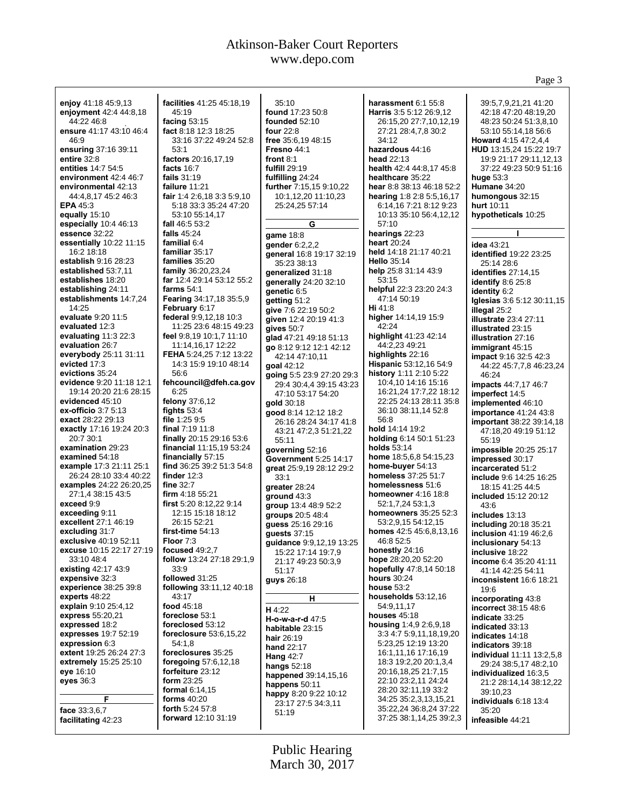Page 3

**enjoy** 41:18 45:9,13 **enjoyment** 42:4 44:8,18 44:22 46:8 **ensure** 41:17 43:10 46:4 46:9 **ensuring** 37:16 39:11 **entire** 32:8 **entities** 14:7 54:5 **environment** 42:4 46:7 **environmental** 42:13 44:4,8,17 45:2 46:3 **EPA** 45:3 **equally** 15:10 **especially** 10:4 46:13 **essence** 32:22 **essentially** 10:22 11:15 16:2 18:18 **establish** 9:16 28:23 **established** 53:7,11 **establishes** 18:20 **establishing** 24:11 **establishments** 14:7,24 14:25 **evaluate** 9:20 11:5 **evaluated** 12:3 **evaluating** 11:3 22:3 **evaluation** 26:7 **everybody** 25:11 31:11 **evicted** 17:3 **evictions** 35:24 **evidence** 9:20 11:18 12:1 19:14 20:20 21:6 28:15 **evidenced** 45:10 **ex-officio** 3:7 5:13 **exact** 28:22 29:13 **exactly** 17:16 19:24 20:3 20:7 30:1 **examination** 29:23 **examined** 54:18 **example** 17:3 21:11 25:1 26:24 28:10 33:4 40:22 **examples** 24:22 26:20,25 27:1,4 38:15 43:5 **exceed** 9:9 **exceeding** 9:11 **excellent** 27:1 46:19 **excluding** 31:7 **exclusive** 40:19 52:11 **excuse** 10:15 22:17 27:19 33:10 48:4 **existing** 42:17 43:9 **expensive** 32:3 **experience** 38:25 39:8 **experts** 48:22 **explain** 9:10 25:4,12 **express** 55:20,21 **expressed** 18:2 **expresses** 19:7 52:19 **expression** 6:3 **extent** 19:25 26:24 27:3 **extremely** 15:25 25:10 **eye** 16:10 **eyes** 36:3 **F face** 33:3,6,7 **facilitating** 42:23 **facilities** 41:25 45:18,19  $45.19$ **facing** 53:15 **fact** 8:18 12:3 18:25 33:16 37:22 49:24 52:8 53:1 **factors** 20:16,17,19 **facts** 16:7 **fails** 31:19 **failure** 11:21 **fair** 1:4 2:6,18 3:3 5:9,10 5:18 33:3 35:24 47:20 53:10 55:14,17 **fall** 46:5 53:2 **falls** 45:24 **familial** 6:4 **familiar** 35:17 **families** 35:20 **family** 36:20,23,24 **far** 12:4 29:14 53:12 55:2 **farms** 54:1 **Fearing** 34:17,18 35:5,9 **February** 6:17 **federal** 9:9,12,18 10:3 11:25 23:6 48:15 49:23 **feel** 9:8,19 10:1,7 11:10 11:14,16,17 12:22 **FEHA** 5:24,25 7:12 13:22 14:3 15:9 19:10 48:14 56:6 **fehcouncil@dfeh.ca.gov** 6:25 **felony** 37:6,12 **fights** 53:4 **file** 1:25 9:5 **final** 7:19 11:8 **finally** 20:15 29:16 53:6 **financial** 11:15,19 53:24 **financially** 57:15 **find** 36:25 39:2 51:3 54:8 **finder** 12:3 **fine** 32:7 **firm** 4:18 55:21 **first** 5:20 8:12,22 9:14 12:15 15:18 18:12 26:15 52:21 **first-time** 54:13 **Floor** 7:3 **focused** 49:2,7 **follow** 13:24 27:18 29:1,9 33:9 **followed** 31:25 **following** 33:11,12 40:18 43:17 **food** 45:18 **foreclose** 53:1 **foreclosed** 53:12 **foreclosure** 53:6,15,22 54:1,8 **foreclosures** 35:25 **foregoing** 57:6,12,18 **forfeiture** 23:12 **form** 23:25 **formal** 6:14,15 **forms** 40:20 **forth** 5:24 57:8 **forward** 12:10 31:19 35:10 **found** 17:23 50:8 **founded** 52:10 **four** 22:8 **free** 35:6,19 48:15 **Fresno** 44:1 **front** 8:1 **fulfill** 29:19 **fulfilling** 24:24 **further** 7:15,15 9:10,22 10:1,12,20 11:10,23 25:24,25 57:14 **G game** 18:8 **gender** 6:2,2,2 **general** 16:8 19:17 32:19 35:23 38:13 **generalized** 31:18 **generally** 24:20 32:10 **genetic** 6:5 **getting** 51:2 **give** 7:6 22:19 50:2 **given** 12:4 20:19 41:3 **gives** 50:7 **glad** 47:21 49:18 51:13 **go** 8:12 9:12 12:1 42:12 42:14 47:10,11 **goal** 42:12 **going** 5:5 23:9 27:20 29:3 29:4 30:4,4 39:15 43:23 47:10 53:17 54:20 **gold** 30:18 **good** 8:14 12:12 18:2 26:16 28:24 34:17 41:8 43:21 47:2,3 51:21,22 55:11 **governing** 52:16 **Government** 5:25 14:17 **great** 25:9,19 28:12 29:2 33:1 **greater** 28:24 **ground** 43:3 **group** 13:4 48:9 52:2 **groups** 20:5 48:4 **guess** 25:16 29:16 **guests** 37:15 **guidance** 9:9,12,19 13:25 15:22 17:14 19:7,9 21:17 49:23 50:3,9 51:17 **guys** 26:18 **H H** 4:22 **H-o-w-a-r-d** 47:5 **habitable** 23:15 **hair** 26:19 **hand** 22:17 **Hang** 42:7 **hangs** 52:18 **happened** 39:14,15,16 **happens** 50:11 **happy** 8:20 9:22 10:12 23:17 27:5 34:3,11 51:19 **harassment** 6:1 55:8 **Harris** 3:5 5:12 26:9,12 26:15,20 27:7,10,12,19 27:21 28:4,7,8 30:2 34:12 **hazardous** 44:16 **head** 22:13 **health** 42:4 44:8,17 45:8 **healthcare** 35:22 **hear** 8:8 38:13 46:18 52:2 **hearing** 1:8 2:8 5:5,16,17 6:14,16 7:21 8:12 9:23 10:13 35:10 56:4,12,12 57:10 **hearings** 22:23 **heart** 20:24 **held** 14:18 21:17 40:21 **Hello** 35:14 **help** 25:8 31:14 43:9 53:15 **helpful** 22:3 23:20 24:3 47:14 50:19 **Hi** 41:8 **higher** 14:14,19 15:9  $42.24$ **highlight** 41:23 42:14 44:2,23 49:21 **highlights** 22:16 **Hispanic** 53:12,16 54:9 **history** 1:11 2:10 5:22 10:4,10 14:16 15:16 16:21,24 17:7,22 18:12 22:25 24:13 28:11 35:8 36:10 38:11,14 52:8 56:8 **hold** 14:14 19:2 **holding** 6:14 50:1 51:23 **holds** 53:14 **home** 18:5,6,8 54:15,23 **home-buyer** 54:13 **homeless** 37:25 51:7 **homelessness** 51:6 **homeowner** 4:16 18:8 52:1,7,24 53:1,3 **homeowners** 35:25 52:3 53:2,9,15 54:12,15 **homes** 42:5 45:6,8,13,16 46:8 52:5 **honestly** 24:16 **hope** 28:20,20 52:20 **hopefully** 47:8,14 50:18 **hours** 30:24 **house** 53:2 **households** 53:12,16 54:9,11,17 **houses** 45:18 **housing** 1:4,9 2:6,9,18 3:3 4:7 5:9,11,18,19,20 5:23,25 12:19 13:20 16:1,11,16 17:16,19 18:3 19:2,20 20:1,3,4 20:16,18,25 21:7,15 22:10 23:2,11 24:24 28:20 32:11,19 33:2 34:25 35:2,3,13,15,21 35:22,24 36:8,24 37:22 37:25 38:1,14,25 39:2,3 39:5,7,9,21,21 41:20 42:18 47:20 48:19,20 48:23 50:24 51:3,8,10 53:10 55:14,18 56:6 **Howard** 4:15 47:2,4,4 **HUD** 13:15,24 15:22 19:7 19:9 21:17 29:11,12,13 37:22 49:23 50:9 51:16 **huge** 53:3 **Humane** 34:20 **humongous** 32:15 **hurt** 10:11 **hypotheticals** 10:25 **I idea** 43:21 **identified** 19:22 23:25 25:14 28:6 **identifies** 27:14,15 **identify** 8:6 25:8 **identity** 6:2 **Iglesias** 3:6 5:12 30:11,15 **illegal** 25:2 **illustrate** 23:4 27:11 **illustrated** 23:15 **illustration** 27:16 **immigrant** 45:15 **impact** 9:16 32:5 42:3 44:22 45:7,7,8 46:23,24 46:24 **impacts** 44:7,17 46:7 **imperfect** 14:5 **implemented** 46:10 **importance** 41:24 43:8 **important** 38:22 39:14,18 47:18,20 49:19 51:12 55:19 **impossible** 20:25 25:17 **impressed** 30:17 **incarcerated** 51:2 **include** 9:6 14:25 16:25 18:15 41:25 44:5 **included** 15:12 20:12 43:6 **includes** 13:13 **including** 20:18 35:21 **inclusion** 41:19 46:2,6 **inclusionary** 54:13 **inclusive** 18:22 **income** 6:4 35:20 41:11 41:14 42:25 54:11 **inconsistent** 16:6 18:21 19:6 **incorporating** 43:8 **incorrect** 38:15 48:6 **indicate** 33:25 **indicated** 33:13 **indicates** 14:18 **indicators** 39:18 **individual** 11:11 13:2,5,8 29:24 38:5,17 48:2,10 **individualized** 16:3,5 21:2 28:14,14 38:12,22 39:10,23 **individuals** 6:18 13:4 35:20 **infeasible** 44:21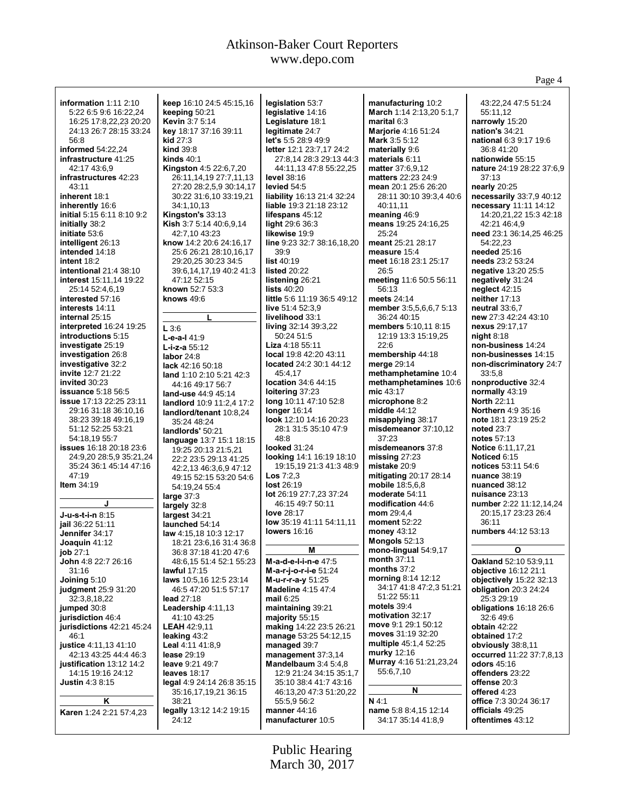|                                                           |                                                   |                                                   |                                            | Page 4                                          |
|-----------------------------------------------------------|---------------------------------------------------|---------------------------------------------------|--------------------------------------------|-------------------------------------------------|
| information 1:11 2:10                                     | keep 16:10 24:5 45:15,16                          | legislation 53:7                                  | manufacturing 10:2                         | 43:22,24 47:5 51:24                             |
| 5:22 6:5 9:6 16:22,24                                     | keeping 50:21                                     | legislative 14:16                                 | March 1:14 2:13,20 5:1,7                   | 55:11.12                                        |
| 16:25 17:8,22,23 20:20                                    | <b>Kevin 3:7 5:14</b>                             | Legislature 18:1                                  | marital 6:3                                | narrowly 15:20                                  |
| 24:13 26:7 28:15 33:24                                    | key 18:17 37:16 39:11                             | legitimate 24:7                                   | <b>Marjorie 4:16 51:24</b>                 | <b>nation's 34:21</b>                           |
| 56:8                                                      | kid $27:3$                                        | <b>let's</b> 5:5 28:9 49:9                        | <b>Mark 3:5 5:12</b>                       | national 6:3 9:17 19:6                          |
| informed $54:22,24$                                       | <b>kind</b> 39:8                                  | letter 12:1 23:7,17 24:2                          | materially 9:6                             | 36:8 41:20                                      |
| infrastructure 41:25                                      | kinds $40:1$                                      | 27:8,14 28:3 29:13 44:3                           | materials 6:11                             | nationwide 55:15                                |
| 42:17 43:6.9                                              | <b>Kingston</b> 4:5 22:6,7,20                     | 44:11,13 47:8 55:22,25                            | <b>matter</b> 37:6,9,12                    | nature 24:19 28:22 37:6,9                       |
| infrastructures 42:23<br>43:11                            | 26:11,14,19 27:7,11,13<br>27:20 28:2,5,9 30:14,17 | <b>level</b> 38:16<br>levied 54:5                 | matters 22:23 24:9<br>mean 20:1 25:6 26:20 | 37:13                                           |
| inherent 18:1                                             | 30:22 31:6,10 33:19,21                            | liability 16:13 21:4 32:24                        | 28:11 30:10 39:3,4 40:6                    | nearly $20:25$<br>necessarily 33:7,9 40:12      |
| inherently 16:6                                           | 34:1,10,13                                        | <b>liable</b> 19:3 21:18 23:12                    | 40:11,11                                   | necessary 11:11 14:12                           |
| initial 5:15 6:11 8:10 9:2                                | Kingston's 33:13                                  | lifespans 45:12                                   | meaning 46:9                               | 14:20,21,22 15:3 42:18                          |
| initially 38:2                                            | Kish 3:7 5:14 40:6,9,14                           | light 29:6 36:3                                   | means 19:25 24:16,25                       | 42:21 46:4,9                                    |
| initiate 53:6                                             | 42:7,10 43:23                                     | likewise 19:9                                     | 25:24                                      | need 23:1 36:14,25 46:25                        |
| intelligent 26:13                                         | know 14:2 20:6 24:16,17                           | line 9:23 32:7 38:16,18,20                        | meant 25:21 28:17                          | 54:22,23                                        |
| intended 14:18                                            | 25:6 26:21 28:10,16,17                            | 39.9                                              | measure 15:4                               | needed 25:16                                    |
| intent 18:2                                               | 29:20,25 30:23 34:5                               | list $40:19$<br>listed 20:22                      | meet 16:18 23:1 25:17<br>26:5              | needs 23:2 53:24                                |
| intentional $21:438:10$<br><b>interest</b> 15:11,14 19:22 | 39:6,14,17,19 40:2 41:3<br>47:12 52:15            | listening 26:21                                   | meeting 11:6 50:5 56:11                    | negative 13:20 25:5<br>negatively 31:24         |
| 25:14 52:4,6,19                                           | known 52:7 53:3                                   | lists $40:20$                                     | 56:13                                      | neglect $42:15$                                 |
| interested 57:16                                          | knows $49:6$                                      | little 5:6 11:19 36:5 49:12                       | meets 24:14                                | neither $17:13$                                 |
| interests 14:11                                           |                                                   | live 51:4 52:3.9                                  | member 3:5,5,6,6,7 5:13                    | neutral 33:6,7                                  |
| internal 25:15                                            | L                                                 | livelihood 33:1                                   | 36:24 40:15                                | new 27:3 42:24 43:10                            |
| <b>interpreted</b> 16:24 19:25                            | L3:6                                              | living 32:14 39:3,22                              | members 5:10,11 8:15                       | nexus 29:17,17                                  |
| introductions 5:15                                        | $L-e-a-141:9$                                     | 50:24 51:5                                        | 12:19 13:3 15:19,25                        | night $8:18$                                    |
| investigate 25:19                                         | $L$ -i-z-a $55:12$                                | Liza 4:18 55:11                                   | 22:6                                       | non-business 14:24                              |
| investigation 26:8<br>investigative 32:2                  | labor $24:8$                                      | local 19:8 42:20 43:11<br>located 24:2 30:1 44:12 | membership 44:18<br>merge 29:14            | non-businesses 14:15<br>non-discriminatory 24:7 |
| invite 12:7 21:22                                         | lack 42:16 50:18                                  | 45:4,17                                           | methamphetamine 10:4                       | 33:5.8                                          |
| invited 30:23                                             | land 1:10 2:10 5:21 42:3<br>44:16 49:17 56:7      | location 34:6 44:15                               | methamphetamines 10:6                      | nonproductive 32:4                              |
| <b>issuance</b> 5:18 56:5                                 | land-use 44:9 45:14                               | loitering 37:23                                   | mic 43:17                                  | normally 43:19                                  |
| <b>issue</b> 17:13 22:25 23:11                            | landlord 10:9 11:2,4 17:2                         | long 10:11 47:10 52:8                             | microphone 8:2                             | <b>North 22:11</b>                              |
| 29:16 31:18 36:10,16                                      | landlord/tenant 10:8,24                           | longer $16:14$                                    | middle $44:12$                             | <b>Northern 4:9 35:16</b>                       |
| 38:23 39:18 49:16,19                                      | 35:24 48:24                                       | look 12:10 14:16 20:23                            | misapplying 38:17                          | note 18:1 23:19 25:2                            |
| 51:12 52:25 53:21                                         | landlords' 50:21                                  | 28:1 31:5 35:10 47:9                              | misdemeanor 37:10,12                       | <b>noted 23:7</b>                               |
| 54:18,19 55:7<br><b>issues</b> 16:18 20:18 23:6           | language 13:7 15:1 18:15                          | 48:8<br><b>looked</b> 31:24                       | 37:23<br>misdemeanors 37:8                 | notes 57:13<br>Notice 6:11,17,21                |
| 24:9,20 28:5,9 35:21,24                                   | 19:25 20:13 21:5,21<br>22:2 23:5 29:13 41:25      | <b>looking 14:1 16:19 18:10</b>                   | missing $27:23$                            | Noticed 6:15                                    |
| 35:24 36:1 45:14 47:16                                    | 42:2,13 46:3,6,9 47:12                            | 19:15,19 21:3 41:3 48:9                           | mistake 20:9                               | notices 53:11 54:6                              |
| 47:19                                                     | 49:15 52:15 53:20 54:6                            | <b>Los</b> $7:2,3$                                | <b>mitigating 20:17 28:14</b>              | <b>nuance</b> 38:19                             |
| Item $34:19$                                              | 54:19,24 55:4                                     | <b>lost 26:19</b>                                 | mobile 18:5,6,8                            | nuanced 38:12                                   |
|                                                           | large $37:3$                                      | lot 26:19 27:7,23 37:24                           | moderate 54:11                             | nuisance 23:13                                  |
| J                                                         | largely 32:8                                      | 46:15 49:7 50:11                                  | modification 44:6                          | number 2:22 11:12,14,24                         |
| <b>J-u-s-t-i-n</b> 8:15                                   | largest $34:21$                                   | love 28:17                                        | mom 29:4,4                                 | 20:15,17 23:23 26:4                             |
| jail 36:22 51:11                                          | launched 54:14                                    | low 35:19 41:11 54:11,11<br><b>lowers</b> 16:16   | <b>moment</b> 52:22<br>money 43:12         | 36:11<br>numbers 44:12 53:13                    |
| Jennifer 34:17<br>Joaquin $41:12$                         | law 4:15,18 10:3 12:17<br>18:21 23:6,16 31:4 36:8 |                                                   | Mongols 52:13                              |                                                 |
| job 27:1                                                  | 36:8 37:18 41:20 47:6                             | Μ                                                 | mono-lingual 54:9,17                       | O                                               |
| <b>John</b> 4:8 22:7 26:16                                | 48:6,15 51:4 52:1 55:23                           | M-a-d-e-l-i-n-e 47:5                              | month 37:11                                | Oakland 52:10 53:9,11                           |
| 31:16                                                     | lawful $17:15$                                    | M-a-r-j-o-r-i-e 51:24                             | months $37:2$                              | objective 16:12 21:1                            |
| Joining 5:10                                              | laws 10:5,16 12:5 23:14                           | M-u-r-r-a-y 51:25                                 | morning 8:14 12:12                         | objectively 15:22 32:13                         |
| <b>judgment</b> 25:9 31:20                                | 46:5 47:20 51:5 57:17                             | <b>Madeline 4:15 47:4</b>                         | 34:17 41:8 47:2,3 51:21                    | obligation $20:3$ 24:24                         |
| 32:3,8,18,22                                              | lead $27:18$                                      | mail $6:25$                                       | 51:22 55:11<br>motels $39:4$               | 25:3 29:19                                      |
| jumped 30:8<br>jurisdiction 46:4                          | Leadership 4:11,13<br>41:10 43:25                 | maintaining 39:21<br>majority 55:15               | motivation 32:17                           | obligations 16:18 26:6<br>32:6 49:6             |
| jurisdictions 42:21 45:24                                 | <b>LEAH 42:9,11</b>                               | making 14:22 23:5 26:21                           | move 9:1 29:1 50:12                        | obtain 42:22                                    |
| 46:1                                                      | leaking 43:2                                      | manage 53:25 54:12,15                             | moves 31:19 32:20                          | obtained 17:2                                   |
| justice 4:11,13 41:10                                     | Leal 4:11 41:8,9                                  | managed 39:7                                      | multiple 45:1,4 52:25                      | obviously 38:8,11                               |
| 42:13 43:25 44:4 46:3                                     | <b>lease 29:19</b>                                | management $37:3,14$                              | murky 12:16                                | occurred 11:22 37:7,8,13                        |
| justification 13:12 14:2                                  | leave 9:21 49:7                                   | Mandelbaum $3:45:4,8$                             | Murray 4:16 51:21,23,24                    | <b>odors</b> 45:16                              |
| 14:15 19:16 24:12                                         | leaves 18:17                                      | 12:9 21:24 34:15 35:1,7                           | 55:6,7,10                                  | offenders 23:22                                 |
| <b>Justin 4:3 8:15</b>                                    | legal 4:9 24:14 26:8 35:15                        | 35:10 38:4 41:7 43:16<br>46:13,20 47:3 51:20,22   | N                                          | offense 20:3<br>offered 4:23                    |
| Κ                                                         | 35:16,17,19,21 36:15<br>38:21                     | 55:5,9 56:2                                       | N 4:1                                      | office 7:3 30:24 36:17                          |
| Karen 1:24 2:21 57:4,23                                   | legally 13:12 14:2 19:15                          | manner 44:16                                      | name 5:8 8:4,15 12:14                      | officials 49:25                                 |
|                                                           | 24:12                                             | manufacturer 10:5                                 | 34:17 35:14 41:8,9                         | oftentimes 43:12                                |
|                                                           |                                                   |                                                   |                                            |                                                 |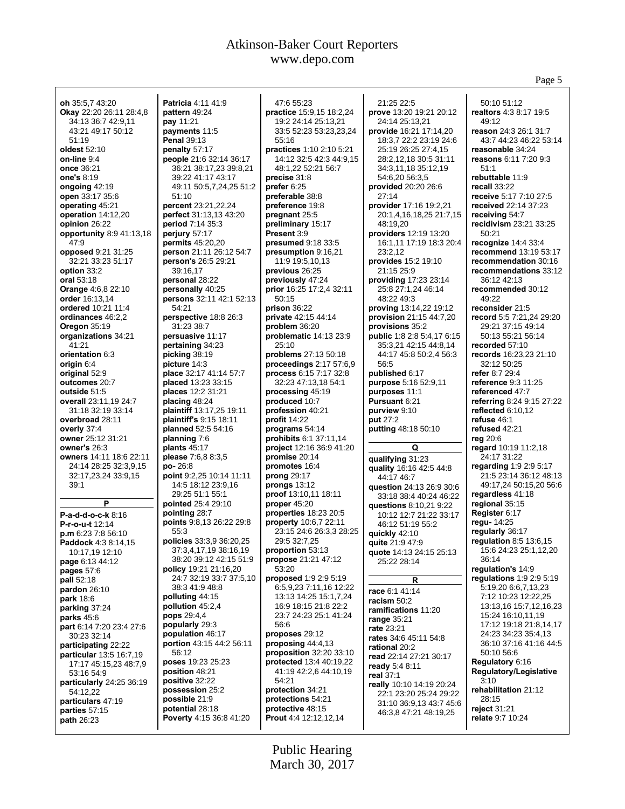Page 5

| oh 35:5.7 43:20                | Patricia 4:11 41:9           | 47:6 55:23                      | 21:25 22:5                 | 50:10 51:12                      |
|--------------------------------|------------------------------|---------------------------------|----------------------------|----------------------------------|
| <b>Okay</b> 22:20 26:11 28:4,8 | pattern 49:24                | practice 15:9,15 18:2,24        | prove 13:20 19:21 20:12    | realtors 4:3 8:17 19:5           |
| 34:13 36:7 42:9,11             | pay 11:21                    | 19:2 24:14 25:13,21             | 24:14 25:13,21             | 49:12                            |
| 43:21 49:17 50:12              | payments 11:5                | 33:5 52:23 53:23,23,24          | provide 16:21 17:14,20     | reason 24:3 26:1 31:7            |
| 51:19                          | <b>Penal 39:13</b>           | 55:16                           | 18:3,7 22:2 23:19 24:6     | 43:7 44:23 46:22 53:14           |
| oldest 52:10                   | penalty 57:17                | practices 1:10 2:10 5:21        | 25:19 26:25 27:4,15        | reasonable 34:24                 |
| on-line 9:4                    | people 21:6 32:14 36:17      | 14:12 32:5 42:3 44:9,15         | 28:2,12,18 30:5 31:11      | reasons 6:11 7:20 9:3            |
| once 36:21                     | 36:21 38:17,23 39:8,21       | 48:1,22 52:21 56:7              | 34:3,11,18 35:12,19        | 51:1                             |
| one's 8:19                     | 39:22 41:17 43:17            | precise 31:8                    | 54:6,20 56:3,5             | rebuttable 11:9                  |
|                                |                              |                                 |                            | recall 33:22                     |
| ongoing $42:19$                | 49:11 50:5,7,24,25 51:2      | prefer $6:25$                   | provided 20:20 26:6        |                                  |
| open 33:17 35:6                | 51:10                        | preferable 38:8                 | 27:14                      | receive 5:17 7:10 27:5           |
| operating 45:21                | percent 23:21,22,24          | preference 19:8                 | provider 17:16 19:2,21     | received 22:14 37:23             |
| operation 14:12,20             | perfect 31:13,13 43:20       | pregnant 25:5                   | 20:1,4,16,18,25 21:7,15    | receiving 54:7                   |
| opinion 26:22                  | period 7:14 35:3             | preliminary 15:17               | 48:19,20                   | recidivism 23:21 33:25           |
| opportunity 8:9 41:13,18       | perjury 57:17                | Present 3:9                     | providers 12:19 13:20      | 50:21                            |
| 47:9                           | <b>permits</b> 45:20,20      | presumed 9:18 33:5              | 16:1,11 17:19 18:3 20:4    | recognize $14:433:4$             |
| opposed 9:21 31:25             | person 21:11 26:12 54:7      | presumption 9:16,21             | 23:2,12                    | recommend 13:19 53:17            |
| 32:21 33:23 51:17              | person's 26:5 29:21          | 11:9 19:5,10,13                 | provides 15:2 19:10        | recommendation 30:16             |
| option 33:2                    | 39:16,17                     | previous 26:25                  | 21:15 25:9                 | recommendations 33:12            |
|                                |                              |                                 |                            |                                  |
| oral 53:18                     | personal 28:22               | previously 47:24                | providing 17:23 23:14      | 36:12 42:13                      |
| Orange 4:6,8 22:10             | personally 40:25             | prior 16:25 17:2,4 32:11        | 25:8 27:1,24 46:14         | recommended 30:12                |
| order 16:13,14                 | persons 32:11 42:1 52:13     | 50:15                           | 48:22 49:3                 | 49:22                            |
| ordered 10:21 11:4             | 54:21                        | prison 36:22                    | proving 13:14,22 19:12     | reconsider 21:5                  |
| ordinances 46:2,2              | perspective 18:8 26:3        | private 42:15 44:14             | provision 21:15 44:7,20    | record 5:5 7:21,24 29:20         |
| <b>Oregon 35:19</b>            | 31:23 38:7                   | problem 36:20                   | provisions 35:2            | 29:21 37:15 49:14                |
| organizations 34:21            | persuasive 11:17             | problematic 14:13 23:9          | public 1:8 2:8 5:4,17 6:15 | 50:13 55:21 56:14                |
| 41:21                          | pertaining 34:23             | 25:10                           | 35:3,21 42:15 44:8,14      | recorded 57:10                   |
| orientation 6:3                | picking 38:19                | problems 27:13 50:18            | 44:17 45:8 50:2,4 56:3     | records 16:23,23 21:10           |
| origin 6:4                     | picture 14:3                 | proceedings 2:17 57:6,9         | 56:5                       | 32:12 50:25                      |
|                                |                              | process 6:15 7:17 32:8          | published 6:17             |                                  |
| original 52:9                  | place 32:17 41:14 57:7       |                                 |                            | refer 8:7 29:4                   |
| outcomes 20:7                  | placed 13:23 33:15           | 32:23 47:13,18 54:1             | purpose 5:16 52:9,11       | reference 9:3 11:25              |
| outside 51:5                   | places 12:2 31:21            | processing 45:19                | purposes 11:1              | referenced 47:7                  |
| overall 23:11,19 24:7          | placing 48:24                | produced 10:7                   | <b>Pursuant 6:21</b>       | <b>referring 8:24 9:15 27:22</b> |
| 31:18 32:19 33:14              | plaintiff 13:17,25 19:11     | profession 40:21                | purview 9:10               | reflected $6:10,12$              |
| overbroad 28:11                | plaintiff's 9:15 18:11       | profit $14:22$                  | put 27:2                   | refuse 46:1                      |
| overly 37:4                    | planned 52:5 54:16           | programs 54:14                  | putting 48:18 50:10        | refused 42:21                    |
| owner 25:12 31:21              | planning 7:6                 | prohibits 6:1 37:11,14          |                            | reg $20:6$                       |
| owner's 26:3                   | plants $45:17$               | <b>project</b> 12:16 36:9 41:20 | Q                          | regard 10:19 11:2,18             |
| owners 14:11 18:6 22:11        | please 7:6,8 8:3,5           | promise $20:14$                 |                            | 24:17 31:22                      |
| 24:14 28:25 32:3,9,15          | po-26:8                      | promotes 16:4                   | qualifying 31:23           | regarding 1:9 2:9 5:17           |
|                                |                              |                                 | quality 16:16 42:5 44:8    |                                  |
| 32:17,23,24 33:9,15            | point 9:2,25 10:14 11:11     | prong 29:17                     | 44:17 46:7                 | 21:5 23:14 36:12 48:13           |
| 39:1                           | 14:5 18:12 23:9,16           | prongs $13:12$                  | question 24:13 26:9 30:6   | 49:17,24 50:15,20 56:6           |
|                                | 29:25 51:1 55:1              | proof 13:10,11 18:11            | 33:18 38:4 40:24 46:22     | regardless 41:18                 |
| P                              | pointed 25:4 29:10           | proper $45:20$                  | questions 8:10,21 9:22     | regional 35:15                   |
| P-a-d-d-o-c-k 8:16             | pointing 28:7                | properties 18:23 20:5           | 10:12 12:7 21:22 33:17     | Register 6:17                    |
| P-r-o-u-t 12:14                | points 9:8,13 26:22 29:8     | <b>property</b> 10:6,7 22:11    | 46:12 51:19 55:2           | regu-14:25                       |
| p.m 6:23 7:8 56:10             | 55:3                         | 23:15 24:6 26:3,3 28:25         | quickly 42:10              | regularly 36:17                  |
| Paddock 4:3 8:14,15            | policies 33:3,9 36:20,25     | 29:5 32:7,25                    | quite 21:9 47:9            | regulation $8:5$ 13:6,15         |
| 10:17,19 12:10                 | 37:3,4,17,19 38:16,19        | proportion 53:13                | quote 14:13 24:15 25:13    | 15:6 24:23 25:1,12,20            |
| page 6:13 44:12                | 38:20 39:12 42:15 51:9       | propose 21:21 47:12             | 25:22 28:14                | 36:14                            |
|                                | <b>policy</b> 19:21 21:16,20 | 53:20                           |                            | regulation's 14:9                |
| pages 57:6                     | 24:7 32:19 33:7 37:5,10      | proposed 1:9 2:9 5:19           |                            | regulations 1:9 2:9 5:19         |
| pall 52:18                     |                              |                                 | R                          |                                  |
| pardon $26:10$                 | 38:3 41:9 48:8               | 6:5,9,23 7:11,16 12:22          | race 6:1 41:14             | 5:19,20 6:6,7,13,23              |
| <b>park</b> 18:6               | polluting $44:15$            | 13:13 14:25 15:1,7,24           | racism 50:2                | 7:12 10:23 12:22,25              |
| parking 37:24                  | pollution 45:2,4             | 16:9 18:15 21:8 22:2            | ramifications 11:20        | 13:13,16 15:7,12,16,23           |
| <b>parks</b> 45:6              | <b>pops</b> 29:4,4           | 23:7 24:23 25:1 41:24           | range $35:21$              | 15:24 16:10,11,19                |
| part 6:14 7:20 23:4 27:6       | popularly 29:3               | 56:6                            | rate 23:21                 | 17:12 19:18 21:8,14,17           |
| 30:23 32:14                    | population 46:17             | proposes 29:12                  | rates 34:6 45:11 54:8      | 24:23 34:23 35:4,13              |
| participating 22:22            | portion 43:15 44:2 56:11     | proposing $44:4.13$             | rational 20:2              | 36:10 37:16 41:16 44:5           |
| <b>particular</b> 13:5 16:7,19 | 56:12                        | proposition 32:20 33:10         | read 22:14 27:21 30:17     | 50:10 56:6                       |
| 17:17 45:15,23 48:7,9          | poses 19:23 25:23            | <b>protected</b> 13:4 40:19,22  |                            | Regulatory 6:16                  |
| 53:16 54:9                     | position 48:21               | 41:19 42:2,6 44:10,19           | ready 5:4 8:11             | Regulatory/Legislative           |
| particularly 24:25 36:19       | positive 32:22               | 54:21                           | real 37:1                  | 3:10                             |
|                                |                              |                                 | really 10:10 14:19 20:24   | rehabilitation 21:12             |
| 54:12,22<br>particulars 47:19  |                              |                                 |                            |                                  |
|                                | possession 25:2              | protection 34:21                | 22:1 23:20 25:24 29:22     |                                  |
|                                | possible 21:9                | protections 54:21               | 31:10 36:9,13 43:7 45:6    | 28:15                            |
| parties $57:15$                | potential 28:18              | protective 48:15                | 46:3,8 47:21 48:19,25      | reject $31:21$                   |
| <b>path 26:23</b>              | Poverty 4:15 36:8 41:20      | Prout 4:4 12:12,12,14           |                            | relate 9:7 10:24                 |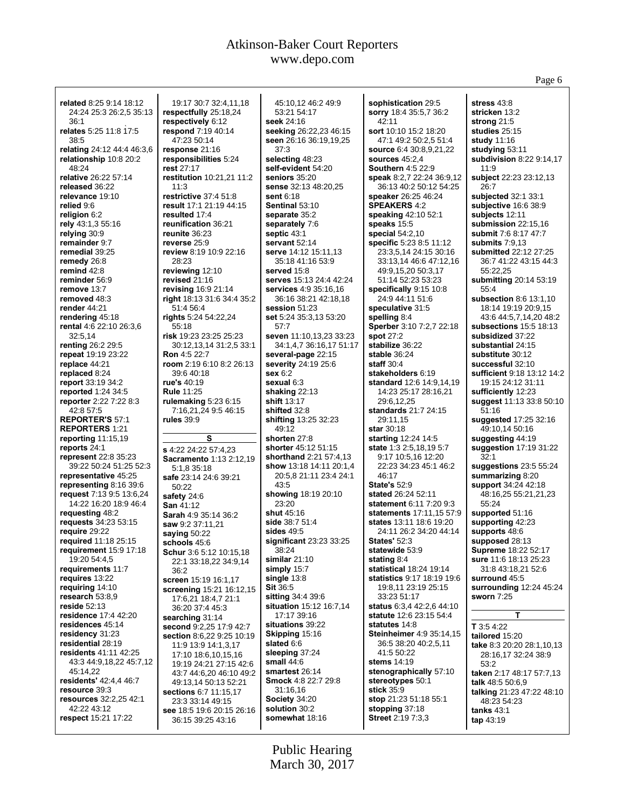| related 8:25 9:14 18:12       | 19:17 30:7 32:4,11,18          | 45:10,12 46:2 49:9           | sophistication 29:5              | stress 43:8                |
|-------------------------------|--------------------------------|------------------------------|----------------------------------|----------------------------|
| 24:24 25:3 26:2,5 35:13       | respectfully 25:18,24          | 53:21 54:17                  | sorry 18:4 35:5,7 36:2           | stricken 13:2              |
| 36:1                          | respectively 6:12              | seek 24:16                   | 42:11                            | strong $21:5$              |
| relates 5:25 11:8 17:5        | respond 7:19 40:14             | seeking 26:22,23 46:15       | sort 10:10 15:2 18:20            | studies $25:15$            |
|                               |                                |                              |                                  |                            |
| 38:5                          | 47:23 50:14                    | seen 26:16 36:19,19,25       | 47:1 49:2 50:2,5 51:4            | study 11:16                |
| relating 24:12 44:4 46:3,6    | response 21:16                 | 37:3                         | <b>source</b> 6:4 30:8,9,21,22   | studying 53:11             |
| relationship 10:8 20:2        | responsibilities 5:24          | selecting 48:23              | sources $45:2,4$                 | subdivision 8:22 9:14,17   |
| 48:24                         | rest 27:17                     | self-evident 54:20           | <b>Southern 4:5 22:9</b>         | 11:9                       |
| relative 26:22 57:14          | restitution 10:21,21 11:2      | seniors 35:20                | <b>speak</b> 8:2,7 22:24 36:9,12 | subject 22:23 23:12,13     |
| released 36:22                | 11:3                           | sense 32:13 48:20,25         | 36:13 40:2 50:12 54:25           | 26:7                       |
| relevance 19:10               | restrictive 37:4 51:8          | sent 6:18                    | <b>speaker</b> 26:25 46:24       | subjected 32:1 33:1        |
| relied 9:6                    | result 17:1 21:19 44:15        | Sentinal 53:10               | <b>SPEAKERS 4:2</b>              | subjective 16:6 38:9       |
| religion 6:2                  | resulted 17:4                  | separate 35:2                | speaking 42:10 52:1              | subjects 12:11             |
| rely 43:1,3 55:16             | reunification 36:21            | separately 7:6               | speaks 15:5                      | submission 22:15,16        |
| relying 30:9                  | reunite 36:23                  | septic 43:1                  | <b>special 54:2,10</b>           | submit 7:6 8:17 47:7       |
| remainder 9:7                 | reverse 25:9                   | servant 52:14                | specific 5:23 8:5 11:12          | submits $7:9,13$           |
| remedial 39:25                | review 8:19 10:9 22:16         |                              |                                  |                            |
|                               |                                | serve 14:12 15:11,13         | 23:3,5,14 24:15 30:16            | submitted 22:12 27:25      |
| remedy 26:8                   | 28:23                          | 35:18 41:16 53:9             | 33:13,14 46:6 47:12,16           | 36:7 41:22 43:15 44:3      |
| remind 42:8                   | reviewing 12:10                | served 15:8                  | 49:9,15,20 50:3,17               | 55:22,25                   |
| reminder 56:9                 | revised 21:16                  | serves 15:13 24:4 42:24      | 51:14 52:23 53:23                | submitting 20:14 53:19     |
| remove 13:7                   | <b>revising 16:9 21:14</b>     | <b>services</b> 4:9 35:16,16 | specifically 9:15 10:8           | 55:4                       |
| removed 48:3                  | right 18:13 31:6 34:4 35:2     | 36:16 38:21 42:18,18         | 24:9 44:11 51:6                  | subsection 8:6 13:1,10     |
| render $44:21$                | 51:4 56:4                      | session 51:23                | speculative 31:5                 | 18:14 19:19 20:9,15        |
| rendering 45:18               | rights 5:24 54:22,24           | set 5:24 35:3,13 53:20       | spelling 8:4                     | 43:6 44:5,7,14,20 48:2     |
| rental 4:6 22:10 26:3.6       | 55:18                          | 57:7                         | <b>Sperber</b> 3:10 7:2,7 22:18  | subsections $15:5$ 18:13   |
| 32:5,14                       | risk 19:23 23:25 25:23         | seven 11:10,13,23 33:23      | <b>spot 27:2</b>                 | subsidized 37:22           |
| <b>renting 26:2 29:5</b>      | 30:12,13,14 31:2,5 33:1        | 34:1,4,7 36:16,17 51:17      | stabilize 36:22                  | substantial 24:15          |
| repeat 19:19 23:22            | <b>Ron</b> 4:5 22:7            | several-page 22:15           | stable 36:24                     | substitute 30:12           |
| replace 44:21                 | room 2:19 6:10 8:2 26:13       | severity 24:19 25:6          | staff $30:4$                     | successful 32:10           |
| replaced 8:24                 | 39:6 40:18                     | sex 6:2                      | stakeholders 6:19                | sufficient 9:18 13:12 14:2 |
| report 33:19 34:2             | rue's 40:19                    | sexual 6:3                   | standard 12:6 14:9,14,19         | 19:15 24:12 31:11          |
|                               |                                |                              |                                  |                            |
| reported $1:24,34:5$          | <b>Rule 11:25</b>              | shaking $22:13$              | 14:23 25:17 28:16,21             | sufficiently 12:23         |
| reporter 2:22 7:22 8:3        | rulemaking $5:236:15$          | shift 13:17                  | 29:6,12,25                       | suggest 11:13 33:8 50:10   |
| 42:8 57:5                     | 7:16,21,24 9:5 46:15           | shifted 32:8                 | standards 21:7 24:15             | 51:16                      |
| <b>REPORTER'S 57:1</b>        | <b>rules</b> 39:9              | shifting 13:25 32:23         | 29:11,15                         | suggested 17:25 32:16      |
| <b>REPORTERS 1:21</b>         |                                | 49:12                        | star 30:18                       | 49:10,14 50:16             |
| reporting $11:15,19$          | s                              | shorten 27:8                 | starting 12:24 14:5              | suggesting 44:19           |
| reports 24:1                  | s 4:22 24:22 57:4,23           | shorter 45:12 51:15          | <b>state</b> 1:3 2:5,18,19 5:7   | suggestion 17:19 31:22     |
| <b>represent</b> 22:8 35:23   | <b>Sacramento 1:13 2:12,19</b> | shorthand 2:21 57:4,13       | 9:17 10:5,16 12:20               | 32:1                       |
| 39:22 50:24 51:25 52:3        | 5:1,8 35:18                    | show 13:18 14:11 20:1,4      | 22:23 34:23 45:1 46:2            | suggestions $23:55:24$     |
| representative 45:25          | safe 23:14 24:6 39:21          | 20:5,8 21:11 23:4 24:1       | 46:17                            | summarizing 8:20           |
| representing 8:16 39:6        | 50:22                          | 43:5                         | <b>State's 52:9</b>              | support 34:24 42:18        |
| request 7:13 9:5 13:6,24      | safety 24:6                    | showing 18:19 20:10          | stated 26:24 52:11               | 48:16,25 55:21,21,23       |
| 14:22 16:20 18:9 46:4         | <b>San 41:12</b>               | 23:20                        | statement 6:11 7:20 9:3          | 55:24                      |
| requesting 48:2               | Sarah 4:9 35:14 36:2           | shut 45:16                   | statements 17:11,15 57:9         | supported 51:16            |
| requests 34:23 53:15          | saw 9:2 37:11,21               | side 38:7 51:4               | states 13:11 18:6 19:20          | supporting 42:23           |
| require 29:22                 |                                | sides $49.5$                 | 24:11 26:2 34:20 44:14           | supports 48:6              |
| required 11:18 25:15          | saying 50:22                   | significant 23:23 33:25      | <b>States' 52:3</b>              | supposed 28:13             |
| requirement 15:9 17:18        | schools 45:6                   | 38:24                        | statewide 53:9                   | Supreme 18:22 52:17        |
|                               | <b>Schur</b> 3:6 5:12 10:15,18 |                              |                                  |                            |
| 19:20 54:4,5                  | 22:1 33:18,22 34:9,14          | similar $21:10$              | stating 8:4                      | sure 11:6 18:13 25:23      |
| requirements 11:7             | 36:2                           | simply 15:7                  | statistical 18:24 19:14          | 31:8 43:18,21 52:6         |
| requires 13:22                | screen 15:19 16:1,17           | single 13:8                  | statistics 9:17 18:19 19:6       | surround 45:5              |
| requiring 14:10               | screening 15:21 16:12,15       | <b>Sit 36:5</b>              | 19:8,11 23:19 25:15              | surrounding 12:24 45:24    |
| research 53:8,9               | 17:6,21 18:4,7 21:1            | sitting 34:4 39:6            | 33:23 51:17                      | sworn 7:25                 |
| reside 52:13                  | 36:20 37:4 45:3                | situation 15:12 16:7,14      | status 6:3,4 42:2,6 44:10        |                            |
| residence 17:4 42:20          | searching 31:14                | 17:17 39:16                  | statute 12:6 23:15 54:4          | т                          |
| residences 45:14              | second 9:2,25 17:9 42:7        | situations 39:22             | statutes 14:8                    | T 3:5 4:22                 |
| residency 31:23               | section 8:6,22 9:25 10:19      | Skipping 15:16               | Steinheimer 4:9 35:14,15         | tailored 15:20             |
| residential 28:19             | 11:9 13:9 14:1,3,17            | slated 6:6                   | 36:5 38:20 40:2,5,11             | take 8:3 20:20 28:1,10,13  |
| <b>residents</b> 41:11 42:25  | 17:10 18:6,10,15,16            | sleeping 37:24               | 41:5 50:22                       | 28:16,17 32:24 38:9        |
| 43:3 44:9,18,22 45:7,12       | 19:19 24:21 27:15 42:6         | small $44:6$                 | stems 14:19                      | 53:2                       |
| 45:14,22                      | 43:7 44:6,20 46:10 49:2        | smartest 26:14               | stenographically 57:10           | taken 2:17 48:17 57:7,13   |
| <b>residents' 42:4,4 46:7</b> |                                | <b>Smock</b> 4:8 22:7 29:8   | stereotypes 50:1                 |                            |
| resource 39:3                 | 49:13,14 50:13 52:21           | 31:16,16                     | <b>stick</b> 35:9                | talk 48:5 50:6,9           |
| resources 32:2,25 42:1        | sections 6:7 11:15,17          | Society 34:20                | stop 21:23 51:18 55:1            | talking 21:23 47:22 48:10  |
| 42:22 43:12                   | 23:3 33:14 49:15               | solution 30:2                |                                  | 48:23 54:23                |
|                               | see 18:5 19:6 20:15 26:16      |                              | stopping 37:18                   | tanks $43:1$               |
| respect 15:21 17:22           | 36:15 39:25 43:16              | somewhat 18:16               | <b>Street 2:19 7:3,3</b>         | tap $43:19$                |
|                               |                                |                              |                                  |                            |